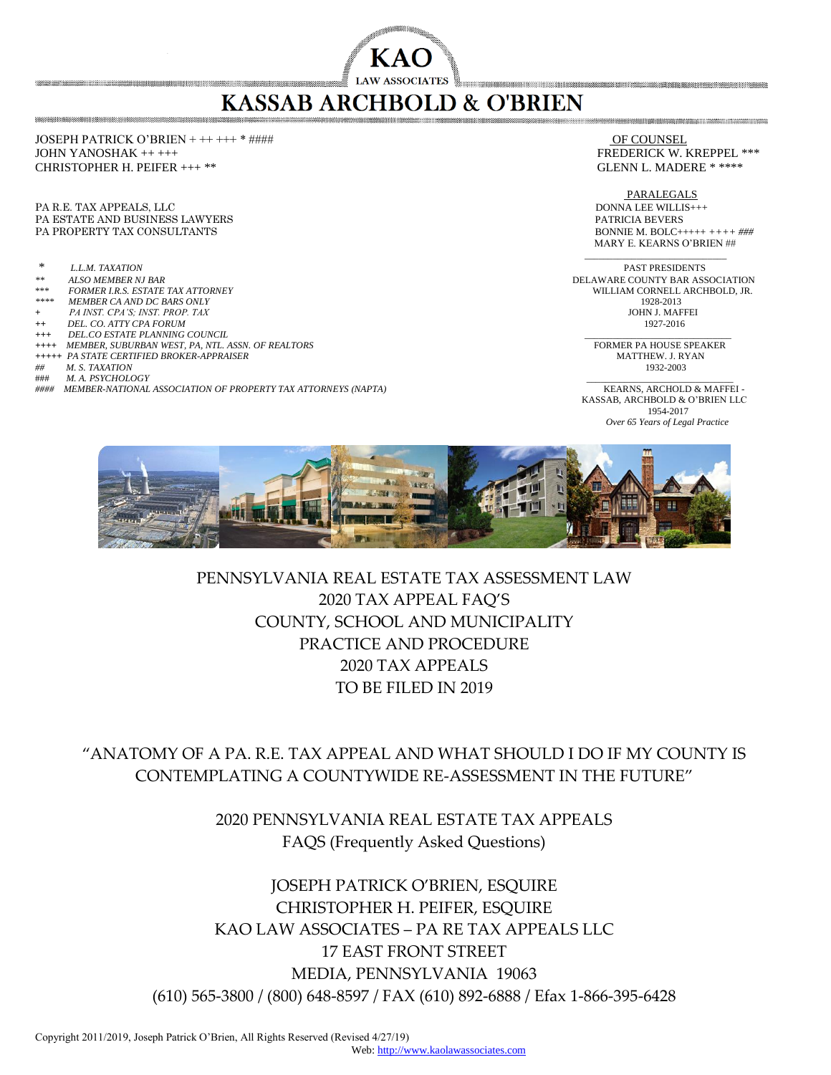# **KASSAB ARCHBOLD & O'BRIEN**

**KAC** 

JOSEPH PATRICK O'BRIEN + ++ +++ \* #### OF COUNSEL JOHN YANOSHAK ++ +++ FREDERICK W. KREPPEL \*\*\* CHRISTOPHER H. PEIFER +++ \*\* GLENN L. MADERE \* \*\*\*\*

PA R.E. TAX APPEALS, LLC<br>
PA ESTATE AND BUSINESS LAWYERS

PATRICIA BEVERS

PATRICIA BEVERS

PATRICIA BEVERS

PATRICIA BEVERS

PATRICIA BEVERS

PATRICIA BEVERS

PATRICIA BEVERS

PATRICIA BEVERS PA ESTATE AND BUSINESS LAWYERS PA PROPERTY TAX CONSULTANTS **BONNIE M. BOLC+++++** ++++  $\# \# \#$ 

- 
- 
- 
- 
- $++$  *DEL. CO. ATTY CPA FORUM*
- 
- *+++ DEL.CO ESTATE PLANNING COUNCIL* \_\_\_\_\_\_\_\_\_\_\_\_\_\_\_\_\_*\_*\_\_\_\_\_\_\_\_\_\_\_\_\_
- *++++ MEMBER, SUBURBAN WEST, PA, NTL. ASSN. OF REALTORS* FORMER PA HOUSE SPEAKER *+++++ PA STATE CERTIFIED BROKER-APPRAISER* MATTHEW. J. RYAN
- *## M. S. TAXATION* 1932-2003
- ### *M. A. PSYCHOLOGY* \_\_\_\_\_\_\_\_\_\_\_\_\_\_\_\_\_\_\_\_\_\_\_\_\_\_\_\_\_\_\_
- *#### MEMBER-NATIONAL ASSOCIATION OF PROPERTY TAX ATTORNEYS (NAPTA)* KEARNS, ARCHOLD & MAFFEI -

PARALEGALS MARY E. KEARNS O'BRIEN ##  $\frac{1}{\sqrt{2}}$  ,  $\frac{1}{\sqrt{2}}$  ,  $\frac{1}{\sqrt{2}}$  ,  $\frac{1}{\sqrt{2}}$  ,  $\frac{1}{\sqrt{2}}$  ,  $\frac{1}{\sqrt{2}}$  ,  $\frac{1}{\sqrt{2}}$  ,  $\frac{1}{\sqrt{2}}$  ,  $\frac{1}{\sqrt{2}}$  ,  $\frac{1}{\sqrt{2}}$  ,  $\frac{1}{\sqrt{2}}$  ,  $\frac{1}{\sqrt{2}}$  ,  $\frac{1}{\sqrt{2}}$  ,  $\frac{1}{\sqrt{2}}$  ,  $\frac{1}{\sqrt{2}}$ 

*\* L.L.M. TAXATION* PAST PRESIDENTS *\*\* ALSO MEMBER NJ BAR* DELAWARE COUNTY BAR ASSOCIATION \*\*\* *FORMER I.R.S. ESTATE TAX ATTORNEY* WILLIAM CORNELL ARCHBOLD, JR. *MEMBER CA AND DC BARS ONLY* 1928-2013<br>*PA INST. CPA'S: INST. PROP. TAX* **1928-2013 +** *PA INST. CPA'S; INST. PROP. TAX* JOHN J. MAFFEI

KASSAB, ARCHBOLD & O'BRIEN LLC<br>1954-2017 1954-2017  *Over 65 Years of Legal Practice*



## PENNSYLVANIA REAL ESTATE TAX ASSESSMENT LAW 2020 TAX APPEAL FAQ'S COUNTY, SCHOOL AND MUNICIPALITY PRACTICE AND PROCEDURE 2020 TAX APPEALS TO BE FILED IN 2019

"ANATOMY OF A PA. R.E. TAX APPEAL AND WHAT SHOULD I DO IF MY COUNTY IS CONTEMPLATING A COUNTYWIDE RE-ASSESSMENT IN THE FUTURE"

> 2020 PENNSYLVANIA REAL ESTATE TAX APPEALS FAQS (Frequently Asked Questions)

JOSEPH PATRICK O'BRIEN, ESQUIRE CHRISTOPHER H. PEIFER, ESQUIRE KAO LAW ASSOCIATES – PA RE TAX APPEALS LLC 17 EAST FRONT STREET MEDIA, PENNSYLVANIA 19063 (610) 565-3800 / (800) 648-8597 / FAX (610) 892-6888 / Efax 1-866-395-6428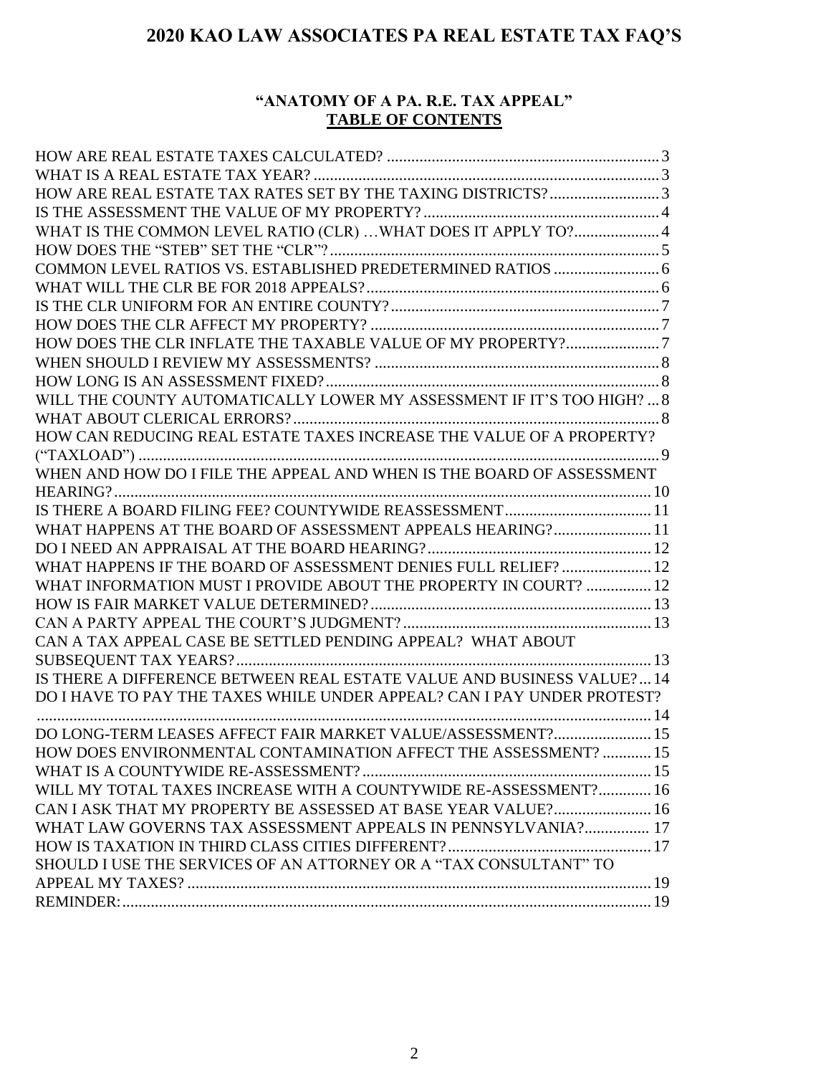## **"ANATOMY OF A PA. R.E. TAX APPEAL" TABLE OF CONTENTS**

| HOW ARE REAL ESTATE TAX RATES SET BY THE TAXING DISTRICTS?3             |  |
|-------------------------------------------------------------------------|--|
|                                                                         |  |
| WHAT IS THE COMMON LEVEL RATIO (CLR) WHAT DOES IT APPLY TO?4            |  |
|                                                                         |  |
|                                                                         |  |
|                                                                         |  |
|                                                                         |  |
|                                                                         |  |
| HOW DOES THE CLR INFLATE THE TAXABLE VALUE OF MY PROPERTY?7             |  |
|                                                                         |  |
|                                                                         |  |
| WILL THE COUNTY AUTOMATICALLY LOWER MY ASSESSMENT IF IT'S TOO HIGH?  8  |  |
|                                                                         |  |
| HOW CAN REDUCING REAL ESTATE TAXES INCREASE THE VALUE OF A PROPERTY?    |  |
|                                                                         |  |
|                                                                         |  |
|                                                                         |  |
|                                                                         |  |
| WHAT HAPPENS AT THE BOARD OF ASSESSMENT APPEALS HEARING? 11             |  |
|                                                                         |  |
| WHAT HAPPENS IF THE BOARD OF ASSESSMENT DENIES FULL RELIEF?  12         |  |
| WHAT INFORMATION MUST I PROVIDE ABOUT THE PROPERTY IN COURT?  12        |  |
|                                                                         |  |
|                                                                         |  |
| CAN A TAX APPEAL CASE BE SETTLED PENDING APPEAL? WHAT ABOUT             |  |
|                                                                         |  |
| IS THERE A DIFFERENCE BETWEEN REAL ESTATE VALUE AND BUSINESS VALUE? 14  |  |
| DO I HAVE TO PAY THE TAXES WHILE UNDER APPEAL? CAN I PAY UNDER PROTEST? |  |
|                                                                         |  |
| DO LONG-TERM LEASES AFFECT FAIR MARKET VALUE/ASSESSMENT? 15             |  |
| HOW DOES ENVIRONMENTAL CONTAMINATION AFFECT THE ASSESSMENT?  15         |  |
|                                                                         |  |
| WILL MY TOTAL TAXES INCREASE WITH A COUNTYWIDE RE-ASSESSMENT? 16        |  |
| CAN I ASK THAT MY PROPERTY BE ASSESSED AT BASE YEAR VALUE? 16           |  |
| WHAT LAW GOVERNS TAX ASSESSMENT APPEALS IN PENNSYLVANIA? 17             |  |
|                                                                         |  |
| SHOULD I USE THE SERVICES OF AN ATTORNEY OR A "TAX CONSULTANT" TO       |  |
|                                                                         |  |
|                                                                         |  |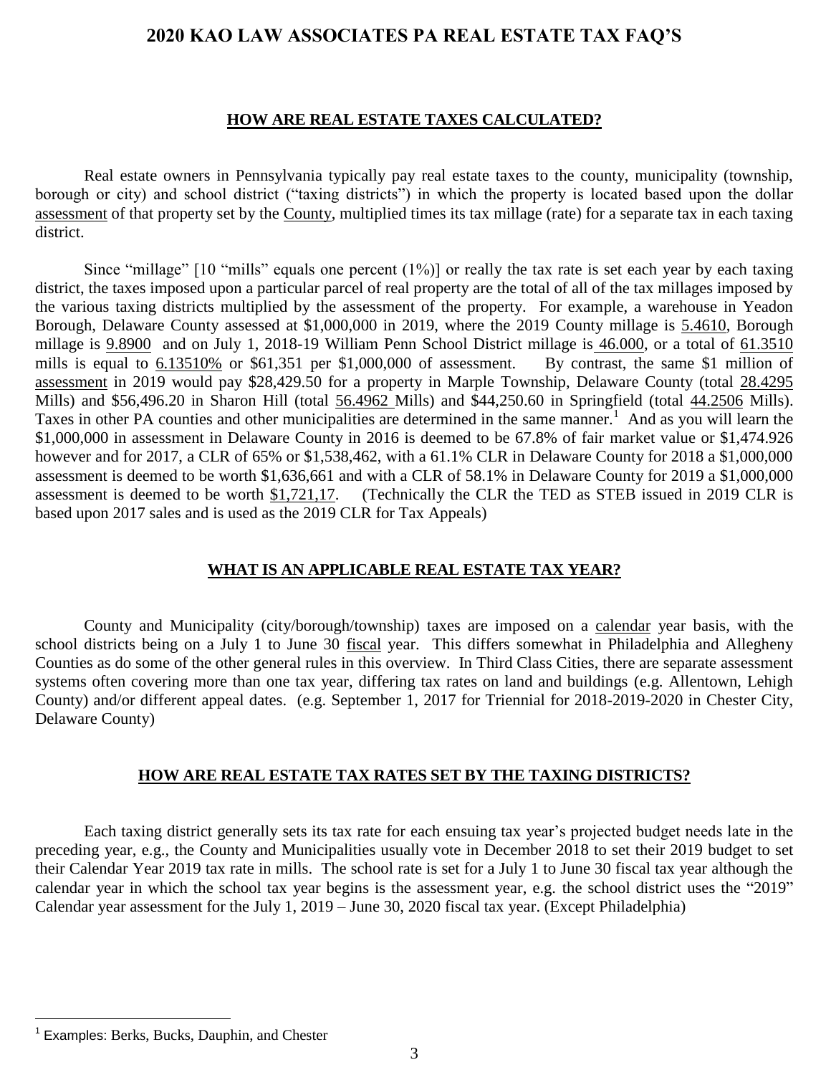#### **HOW ARE REAL ESTATE TAXES CALCULATED?**

<span id="page-2-0"></span>Real estate owners in Pennsylvania typically pay real estate taxes to the county, municipality (township, borough or city) and school district ("taxing districts") in which the property is located based upon the dollar assessment of that property set by the County, multiplied times its tax millage (rate) for a separate tax in each taxing district.

Since "millage"  $[10$  "mills" equals one percent  $(1\%)$  or really the tax rate is set each year by each taxing district, the taxes imposed upon a particular parcel of real property are the total of all of the tax millages imposed by the various taxing districts multiplied by the assessment of the property. For example, a warehouse in Yeadon Borough, Delaware County assessed at \$1,000,000 in 2019, where the 2019 County millage is 5.4610, Borough millage is 9.8900 and on July 1, 2018-19 William Penn School District millage is 46.000, or a total of 61.3510 mills is equal to  $6.13510\%$  or \$61,351 per \$1,000,000 of assessment. By contrast, the same \$1 million of assessment in 2019 would pay \$28,429.50 for a property in Marple Township, Delaware County (total 28.4295 Mills) and \$56,496.20 in Sharon Hill (total 56.4962 Mills) and \$44,250.60 in Springfield (total 44.2506 Mills). Taxes in other PA counties and other municipalities are determined in the same manner.<sup>1</sup> And as you will learn the \$1,000,000 in assessment in Delaware County in 2016 is deemed to be 67.8% of fair market value or \$1,474.926 however and for 2017, a CLR of 65% or \$1,538,462, with a 61.1% CLR in Delaware County for 2018 a \$1,000,000 assessment is deemed to be worth \$1,636,661 and with a CLR of 58.1% in Delaware County for 2019 a \$1,000,000 assessment is deemed to be worth \$1,721,17. (Technically the CLR the TED as STEB issued in 2019 CLR is based upon 2017 sales and is used as the 2019 CLR for Tax Appeals)

#### **WHAT IS AN APPLICABLE REAL ESTATE TAX YEAR?**

<span id="page-2-1"></span>County and Municipality (city/borough/township) taxes are imposed on a calendar year basis, with the school districts being on a July 1 to June 30 fiscal year. This differs somewhat in Philadelphia and Allegheny Counties as do some of the other general rules in this overview. In Third Class Cities, there are separate assessment systems often covering more than one tax year, differing tax rates on land and buildings (e.g. Allentown, Lehigh County) and/or different appeal dates. (e.g. September 1, 2017 for Triennial for 2018-2019-2020 in Chester City, Delaware County)

#### **HOW ARE REAL ESTATE TAX RATES SET BY THE TAXING DISTRICTS?**

<span id="page-2-2"></span>Each taxing district generally sets its tax rate for each ensuing tax year's projected budget needs late in the preceding year, e.g., the County and Municipalities usually vote in December 2018 to set their 2019 budget to set their Calendar Year 2019 tax rate in mills. The school rate is set for a July 1 to June 30 fiscal tax year although the calendar year in which the school tax year begins is the assessment year, e.g. the school district uses the "2019" Calendar year assessment for the July 1, 2019 – June 30, 2020 fiscal tax year. (Except Philadelphia)

<sup>&</sup>lt;sup>1</sup> Examples: Berks, Bucks, Dauphin, and Chester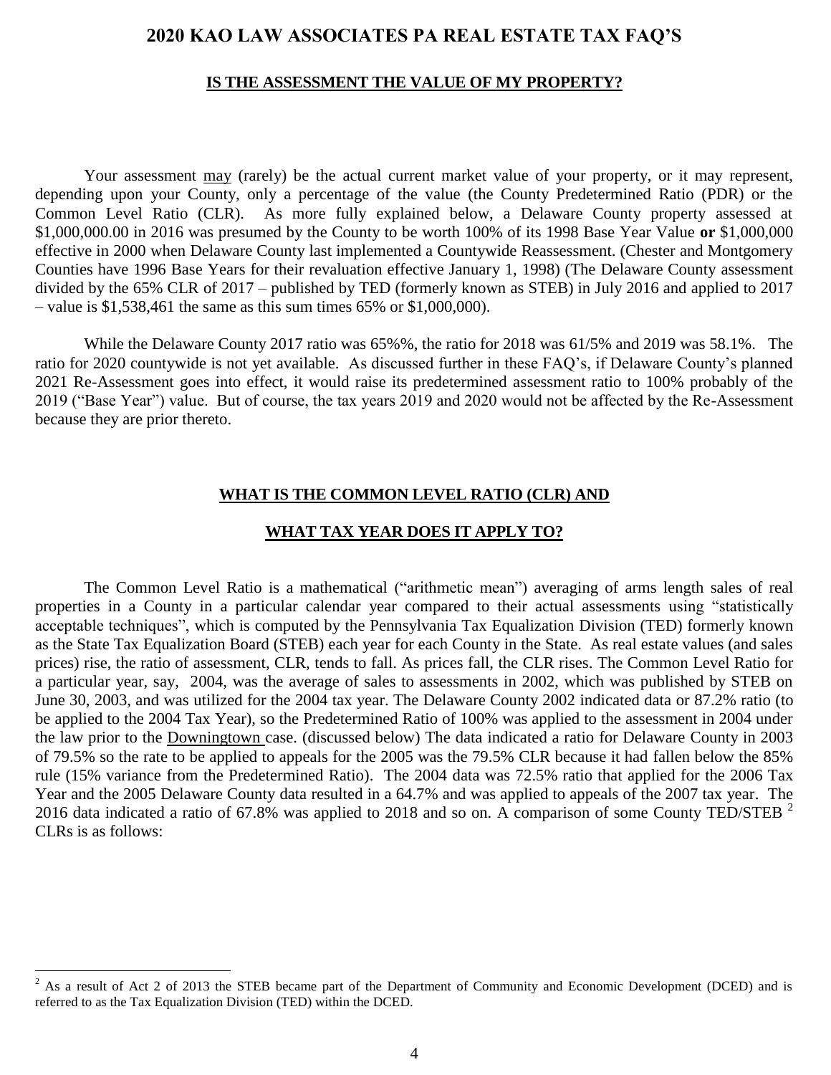#### **IS THE ASSESSMENT THE VALUE OF MY PROPERTY?**

<span id="page-3-0"></span>Your assessment may (rarely) be the actual current market value of your property, or it may represent, depending upon your County, only a percentage of the value (the County Predetermined Ratio (PDR) or the Common Level Ratio (CLR). As more fully explained below, a Delaware County property assessed at \$1,000,000.00 in 2016 was presumed by the County to be worth 100% of its 1998 Base Year Value **or** \$1,000,000 effective in 2000 when Delaware County last implemented a Countywide Reassessment. (Chester and Montgomery Counties have 1996 Base Years for their revaluation effective January 1, 1998) (The Delaware County assessment divided by the 65% CLR of 2017 – published by TED (formerly known as STEB) in July 2016 and applied to 2017 – value is  $$1,538,461$  the same as this sum times 65% or  $$1,000,000$ .

While the Delaware County 2017 ratio was 65%%, the ratio for 2018 was 61/5% and 2019 was 58.1%. The ratio for 2020 countywide is not yet available. As discussed further in these FAQ's, if Delaware County's planned 2021 Re-Assessment goes into effect, it would raise its predetermined assessment ratio to 100% probably of the 2019 ("Base Year") value. But of course, the tax years 2019 and 2020 would not be affected by the Re-Assessment because they are prior thereto.

#### **WHAT IS THE COMMON LEVEL RATIO (CLR) AND**

#### **WHAT TAX YEAR DOES IT APPLY TO?**

<span id="page-3-1"></span>The Common Level Ratio is a mathematical ("arithmetic mean") averaging of arms length sales of real properties in a County in a particular calendar year compared to their actual assessments using "statistically acceptable techniques", which is computed by the Pennsylvania Tax Equalization Division (TED) formerly known as the State Tax Equalization Board (STEB) each year for each County in the State. As real estate values (and sales prices) rise, the ratio of assessment, CLR, tends to fall. As prices fall, the CLR rises. The Common Level Ratio for a particular year, say, 2004, was the average of sales to assessments in 2002, which was published by STEB on June 30, 2003, and was utilized for the 2004 tax year. The Delaware County 2002 indicated data or 87.2% ratio (to be applied to the 2004 Tax Year), so the Predetermined Ratio of 100% was applied to the assessment in 2004 under the law prior to the Downingtown case. (discussed below) The data indicated a ratio for Delaware County in 2003 of 79.5% so the rate to be applied to appeals for the 2005 was the 79.5% CLR because it had fallen below the 85% rule (15% variance from the Predetermined Ratio). The 2004 data was 72.5% ratio that applied for the 2006 Tax Year and the 2005 Delaware County data resulted in a 64.7% and was applied to appeals of the 2007 tax year. The 2016 data indicated a ratio of 67.8% was applied to 2018 and so on. A comparison of some County TED/STEB  $^2$ CLRs is as follows:

<sup>&</sup>lt;sup>2</sup> As a result of Act 2 of 2013 the STEB became part of the Department of Community and Economic Development (DCED) and is referred to as the Tax Equalization Division (TED) within the DCED.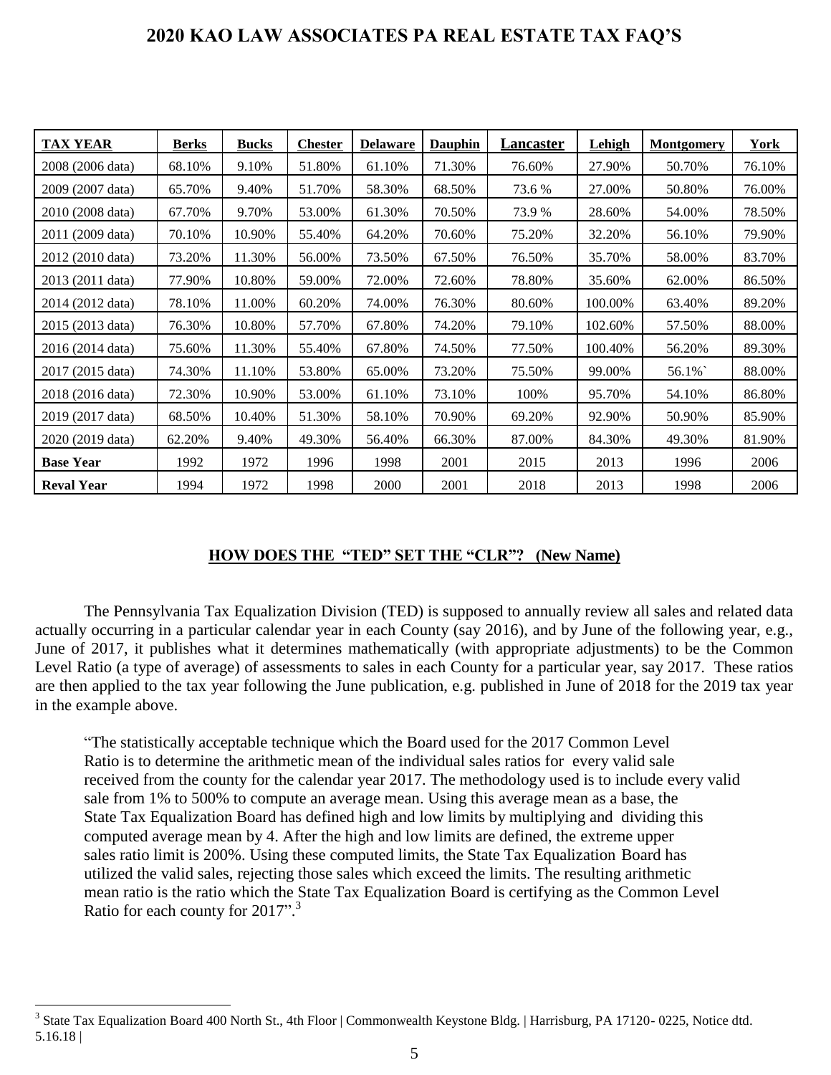| <b>TAX YEAR</b>   | Berks  | <b>Bucks</b> | <b>Chester</b> | <b>Delaware</b> | <b>Dauphin</b> | <u>Lancaster</u> | Lehigh  | <b>Montgomery</b> | York   |
|-------------------|--------|--------------|----------------|-----------------|----------------|------------------|---------|-------------------|--------|
| 2008 (2006 data)  | 68.10% | 9.10%        | 51.80%         | 61.10%          | 71.30%         | 76.60%           | 27.90%  | 50.70%            | 76.10% |
| 2009 (2007 data)  | 65.70% | 9.40%        | 51.70%         | 58.30%          | 68.50%         | 73.6 %           | 27.00%  | 50.80%            | 76.00% |
| 2010 (2008 data)  | 67.70% | 9.70%        | 53.00%         | 61.30%          | 70.50%         | 73.9 %           | 28.60%  | 54.00%            | 78.50% |
| 2011 (2009 data)  | 70.10% | 10.90%       | 55.40%         | 64.20%          | 70.60%         | 75.20%           | 32.20%  | 56.10%            | 79.90% |
| 2012 (2010 data)  | 73.20% | 11.30%       | 56.00%         | 73.50%          | 67.50%         | 76.50%           | 35.70%  | 58.00%            | 83.70% |
| 2013 (2011 data)  | 77.90% | 10.80%       | 59.00%         | 72.00%          | 72.60%         | 78.80%           | 35.60%  | 62.00%            | 86.50% |
| 2014 (2012 data)  | 78.10% | 11.00%       | 60.20%         | 74.00%          | 76.30%         | 80.60%           | 100.00% | 63.40%            | 89.20% |
| 2015 (2013 data)  | 76.30% | 10.80%       | 57.70%         | 67.80%          | 74.20%         | 79.10%           | 102.60% | 57.50%            | 88.00% |
| 2016 (2014 data)  | 75.60% | 11.30%       | 55.40%         | 67.80%          | 74.50%         | 77.50%           | 100.40% | 56.20%            | 89.30% |
| 2017 (2015 data)  | 74.30% | 11.10%       | 53.80%         | 65.00%          | 73.20%         | 75.50%           | 99.00%  | 56.1%             | 88.00% |
| 2018 (2016 data)  | 72.30% | 10.90%       | 53.00%         | 61.10%          | 73.10%         | 100%             | 95.70%  | 54.10%            | 86.80% |
| 2019 (2017 data)  | 68.50% | 10.40%       | 51.30%         | 58.10%          | 70.90%         | 69.20%           | 92.90%  | 50.90%            | 85.90% |
| 2020 (2019 data)  | 62.20% | 9.40%        | 49.30%         | 56.40%          | 66.30%         | 87.00%           | 84.30%  | 49.30%            | 81.90% |
| <b>Base Year</b>  | 1992   | 1972         | 1996           | 1998            | 2001           | 2015             | 2013    | 1996              | 2006   |
| <b>Reval Year</b> | 1994   | 1972         | 1998           | 2000            | 2001           | 2018             | 2013    | 1998              | 2006   |

#### **HOW DOES THE "TED" SET THE "CLR"? (New Name)**

<span id="page-4-0"></span>The Pennsylvania Tax Equalization Division (TED) is supposed to annually review all sales and related data actually occurring in a particular calendar year in each County (say 2016), and by June of the following year, e.g., June of 2017, it publishes what it determines mathematically (with appropriate adjustments) to be the Common Level Ratio (a type of average) of assessments to sales in each County for a particular year, say 2017. These ratios are then applied to the tax year following the June publication, e.g. published in June of 2018 for the 2019 tax year in the example above.

"The statistically acceptable technique which the Board used for the 2017 Common Level Ratio is to determine the arithmetic mean of the individual sales ratios for every valid sale received from the county for the calendar year 2017. The methodology used is to include every valid sale from 1% to 500% to compute an average mean. Using this average mean as a base, the State Tax Equalization Board has defined high and low limits by multiplying and dividing this computed average mean by 4. After the high and low limits are defined, the extreme upper sales ratio limit is 200%. Using these computed limits, the State Tax Equalization Board has utilized the valid sales, rejecting those sales which exceed the limits. The resulting arithmetic mean ratio is the ratio which the State Tax Equalization Board is certifying as the Common Level Ratio for each county for 2017".<sup>3</sup>

<sup>&</sup>lt;sup>3</sup> State Tax Equalization Board 400 North St., 4th Floor | Commonwealth Keystone Bldg. | Harrisburg, PA 17120-0225, Notice dtd. 5.16.18 |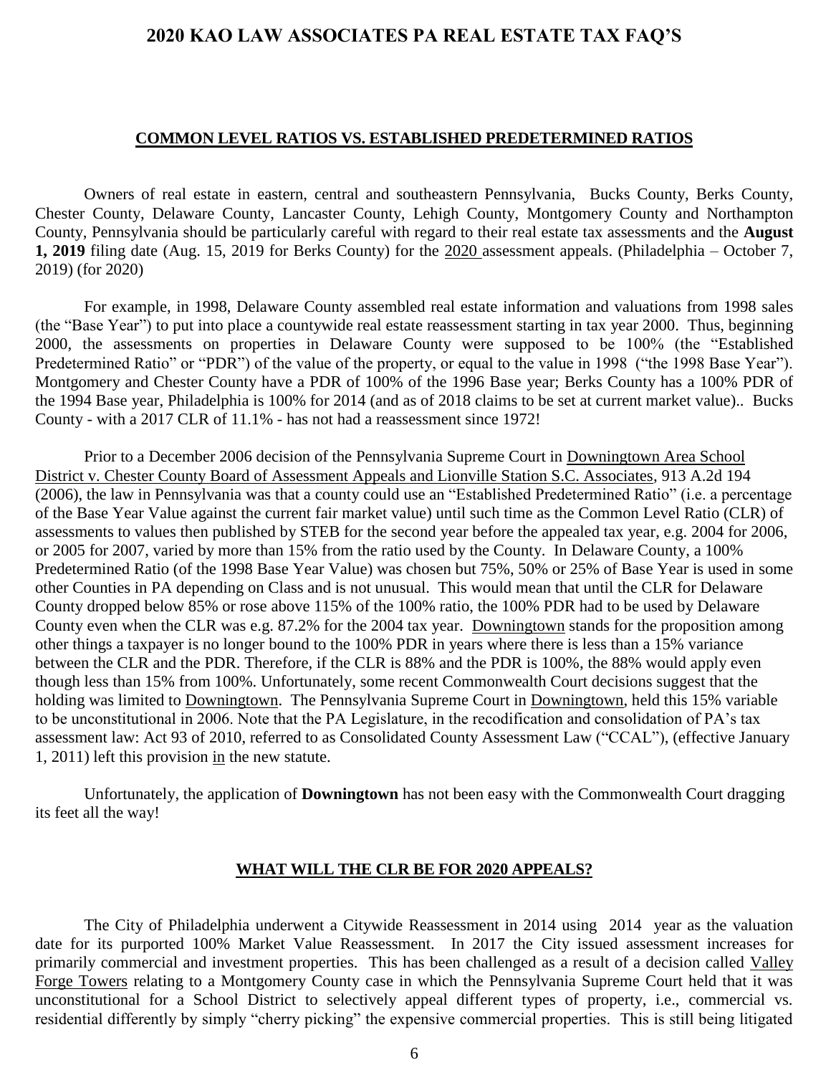#### **COMMON LEVEL RATIOS VS. ESTABLISHED PREDETERMINED RATIOS**

<span id="page-5-0"></span>Owners of real estate in eastern, central and southeastern Pennsylvania, Bucks County, Berks County, Chester County, Delaware County, Lancaster County, Lehigh County, Montgomery County and Northampton County, Pennsylvania should be particularly careful with regard to their real estate tax assessments and the **August 1, 2019** filing date (Aug. 15, 2019 for Berks County) for the 2020 assessment appeals. (Philadelphia – October 7, 2019) (for 2020)

For example, in 1998, Delaware County assembled real estate information and valuations from 1998 sales (the "Base Year") to put into place a countywide real estate reassessment starting in tax year 2000. Thus, beginning 2000, the assessments on properties in Delaware County were supposed to be 100% (the "Established Predetermined Ratio" or "PDR") of the value of the property, or equal to the value in 1998 ("the 1998 Base Year"). Montgomery and Chester County have a PDR of 100% of the 1996 Base year; Berks County has a 100% PDR of the 1994 Base year, Philadelphia is 100% for 2014 (and as of 2018 claims to be set at current market value).. Bucks County - with a 2017 CLR of 11.1% - has not had a reassessment since 1972!

Prior to a December 2006 decision of the Pennsylvania Supreme Court in Downingtown Area School District v. Chester County Board of Assessment Appeals and Lionville Station S.C. Associates, 913 A.2d 194 (2006), the law in Pennsylvania was that a county could use an "Established Predetermined Ratio" (i.e. a percentage of the Base Year Value against the current fair market value) until such time as the Common Level Ratio (CLR) of assessments to values then published by STEB for the second year before the appealed tax year, e.g. 2004 for 2006, or 2005 for 2007, varied by more than 15% from the ratio used by the County. In Delaware County, a 100% Predetermined Ratio (of the 1998 Base Year Value) was chosen but 75%, 50% or 25% of Base Year is used in some other Counties in PA depending on Class and is not unusual. This would mean that until the CLR for Delaware County dropped below 85% or rose above 115% of the 100% ratio, the 100% PDR had to be used by Delaware County even when the CLR was e.g. 87.2% for the 2004 tax year. Downingtown stands for the proposition among other things a taxpayer is no longer bound to the 100% PDR in years where there is less than a 15% variance between the CLR and the PDR. Therefore, if the CLR is 88% and the PDR is 100%, the 88% would apply even though less than 15% from 100%. Unfortunately, some recent Commonwealth Court decisions suggest that the holding was limited to Downingtown. The Pennsylvania Supreme Court in Downingtown, held this 15% variable to be unconstitutional in 2006. Note that the PA Legislature, in the recodification and consolidation of PA's tax assessment law: Act 93 of 2010, referred to as Consolidated County Assessment Law ("CCAL"), (effective January 1, 2011) left this provision in the new statute.

Unfortunately, the application of **Downingtown** has not been easy with the Commonwealth Court dragging its feet all the way!

#### **WHAT WILL THE CLR BE FOR 2020 APPEALS?**

<span id="page-5-1"></span>The City of Philadelphia underwent a Citywide Reassessment in 2014 using 2014 year as the valuation date for its purported 100% Market Value Reassessment. In 2017 the City issued assessment increases for primarily commercial and investment properties. This has been challenged as a result of a decision called Valley Forge Towers relating to a Montgomery County case in which the Pennsylvania Supreme Court held that it was unconstitutional for a School District to selectively appeal different types of property, i.e., commercial vs. residential differently by simply "cherry picking" the expensive commercial properties. This is still being litigated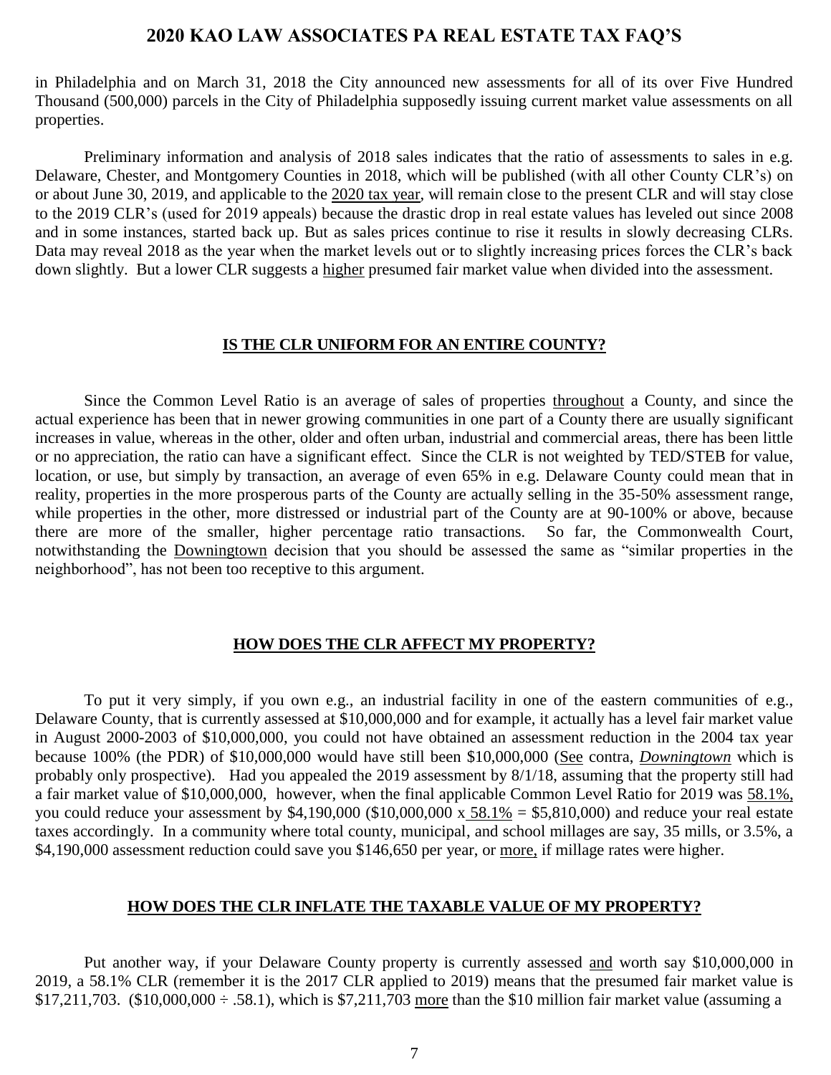in Philadelphia and on March 31, 2018 the City announced new assessments for all of its over Five Hundred Thousand (500,000) parcels in the City of Philadelphia supposedly issuing current market value assessments on all properties.

Preliminary information and analysis of 2018 sales indicates that the ratio of assessments to sales in e.g. Delaware, Chester, and Montgomery Counties in 2018, which will be published (with all other County CLR's) on or about June 30, 2019, and applicable to the 2020 tax year, will remain close to the present CLR and will stay close to the 2019 CLR's (used for 2019 appeals) because the drastic drop in real estate values has leveled out since 2008 and in some instances, started back up. But as sales prices continue to rise it results in slowly decreasing CLRs. Data may reveal 2018 as the year when the market levels out or to slightly increasing prices forces the CLR's back down slightly. But a lower CLR suggests a higher presumed fair market value when divided into the assessment.

#### **IS THE CLR UNIFORM FOR AN ENTIRE COUNTY?**

<span id="page-6-0"></span>Since the Common Level Ratio is an average of sales of properties throughout a County, and since the actual experience has been that in newer growing communities in one part of a County there are usually significant increases in value, whereas in the other, older and often urban, industrial and commercial areas, there has been little or no appreciation, the ratio can have a significant effect. Since the CLR is not weighted by TED/STEB for value, location, or use, but simply by transaction, an average of even 65% in e.g. Delaware County could mean that in reality, properties in the more prosperous parts of the County are actually selling in the 35-50% assessment range, while properties in the other, more distressed or industrial part of the County are at 90-100% or above, because there are more of the smaller, higher percentage ratio transactions. So far, the Commonwealth Court, notwithstanding the Downingtown decision that you should be assessed the same as "similar properties in the neighborhood", has not been too receptive to this argument.

### **HOW DOES THE CLR AFFECT MY PROPERTY?**

<span id="page-6-1"></span>To put it very simply, if you own e.g., an industrial facility in one of the eastern communities of e.g., Delaware County, that is currently assessed at \$10,000,000 and for example, it actually has a level fair market value in August 2000-2003 of \$10,000,000, you could not have obtained an assessment reduction in the 2004 tax year because 100% (the PDR) of \$10,000,000 would have still been \$10,000,000 (See contra, *Downingtown* which is probably only prospective). Had you appealed the 2019 assessment by 8/1/18, assuming that the property still had a fair market value of \$10,000,000, however, when the final applicable Common Level Ratio for 2019 was 58.1%, you could reduce your assessment by  $$4,190,000$  ( $$10,000,000 \times 58.1\% = $5,810,000$ ) and reduce your real estate taxes accordingly. In a community where total county, municipal, and school millages are say, 35 mills, or 3.5%, a \$4,190,000 assessment reduction could save you \$146,650 per year, or more, if millage rates were higher.

#### **HOW DOES THE CLR INFLATE THE TAXABLE VALUE OF MY PROPERTY?**

<span id="page-6-2"></span>Put another way, if your Delaware County property is currently assessed and worth say \$10,000,000 in 2019, a 58.1% CLR (remember it is the 2017 CLR applied to 2019) means that the presumed fair market value is \$17,211,703. (\$10,000,000  $\div$  .58.1), which is \$7,211,703 more than the \$10 million fair market value (assuming a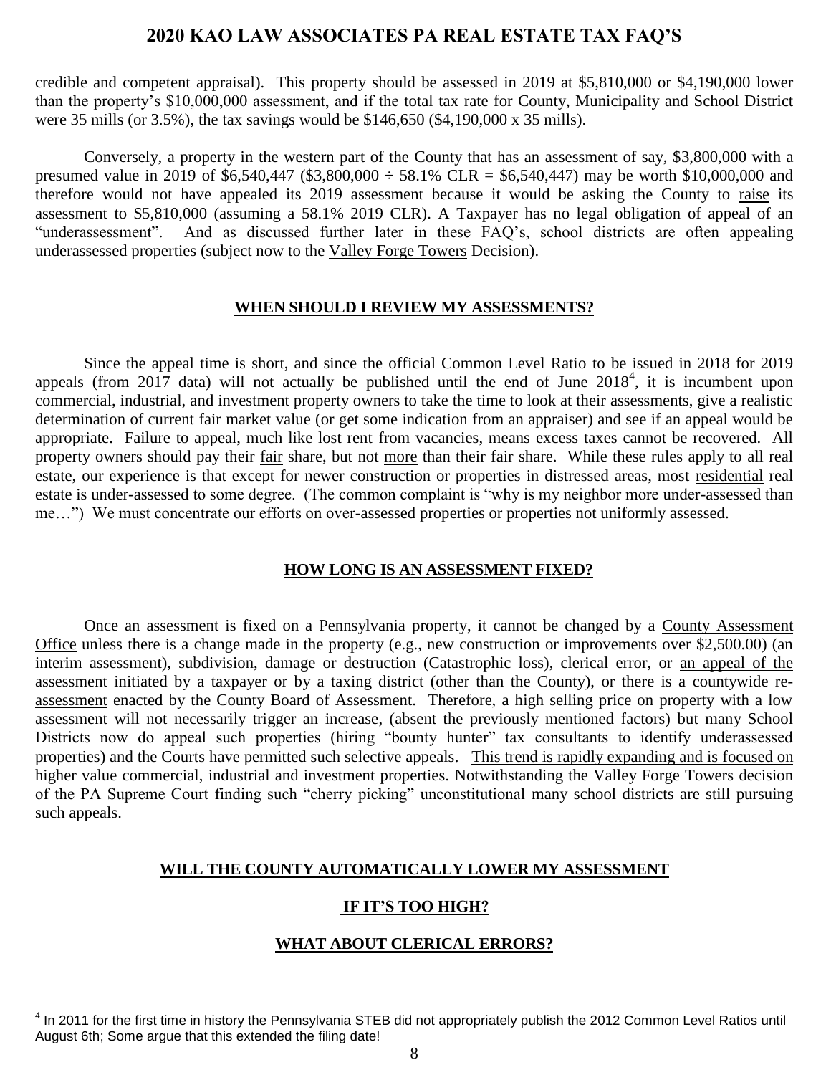credible and competent appraisal). This property should be assessed in 2019 at \$5,810,000 or \$4,190,000 lower than the property's \$10,000,000 assessment, and if the total tax rate for County, Municipality and School District were 35 mills (or 3.5%), the tax savings would be \$146,650 (\$4,190,000 x 35 mills).

Conversely, a property in the western part of the County that has an assessment of say, \$3,800,000 with a presumed value in 2019 of \$6,540,447 (\$3,800,000  $\div$  58.1% CLR = \$6,540,447) may be worth \$10,000,000 and therefore would not have appealed its 2019 assessment because it would be asking the County to raise its assessment to \$5,810,000 (assuming a 58.1% 2019 CLR). A Taxpayer has no legal obligation of appeal of an "underassessment". And as discussed further later in these FAQ's, school districts are often appealing underassessed properties (subject now to the Valley Forge Towers Decision).

#### **WHEN SHOULD I REVIEW MY ASSESSMENTS?**

<span id="page-7-0"></span>Since the appeal time is short, and since the official Common Level Ratio to be issued in 2018 for 2019 appeals (from 2017 data) will not actually be published until the end of June  $2018<sup>4</sup>$ , it is incumbent upon commercial, industrial, and investment property owners to take the time to look at their assessments, give a realistic determination of current fair market value (or get some indication from an appraiser) and see if an appeal would be appropriate. Failure to appeal, much like lost rent from vacancies, means excess taxes cannot be recovered. All property owners should pay their fair share, but not more than their fair share. While these rules apply to all real estate, our experience is that except for newer construction or properties in distressed areas, most residential real estate is under-assessed to some degree. (The common complaint is "why is my neighbor more under-assessed than me…") We must concentrate our efforts on over-assessed properties or properties not uniformly assessed.

#### <span id="page-7-1"></span>**HOW LONG IS AN ASSESSMENT FIXED?**

Once an assessment is fixed on a Pennsylvania property, it cannot be changed by a County Assessment Office unless there is a change made in the property (e.g., new construction or improvements over \$2,500.00) (an interim assessment), subdivision, damage or destruction (Catastrophic loss), clerical error, or an appeal of the assessment initiated by a taxpayer or by a taxing district (other than the County), or there is a countywide reassessment enacted by the County Board of Assessment. Therefore, a high selling price on property with a low assessment will not necessarily trigger an increase, (absent the previously mentioned factors) but many School Districts now do appeal such properties (hiring "bounty hunter" tax consultants to identify underassessed properties) and the Courts have permitted such selective appeals. This trend is rapidly expanding and is focused on higher value commercial, industrial and investment properties. Notwithstanding the Valley Forge Towers decision of the PA Supreme Court finding such "cherry picking" unconstitutional many school districts are still pursuing such appeals.

#### <span id="page-7-2"></span>**WILL THE COUNTY AUTOMATICALLY LOWER MY ASSESSMENT**

#### **IF IT'S TOO HIGH?**

#### **WHAT ABOUT CLERICAL ERRORS?**

<span id="page-7-3"></span> $\overline{a}$ <sup>4</sup> In 2011 for the first time in history the Pennsylvania STEB did not appropriately publish the 2012 Common Level Ratios until August 6th; Some argue that this extended the filing date!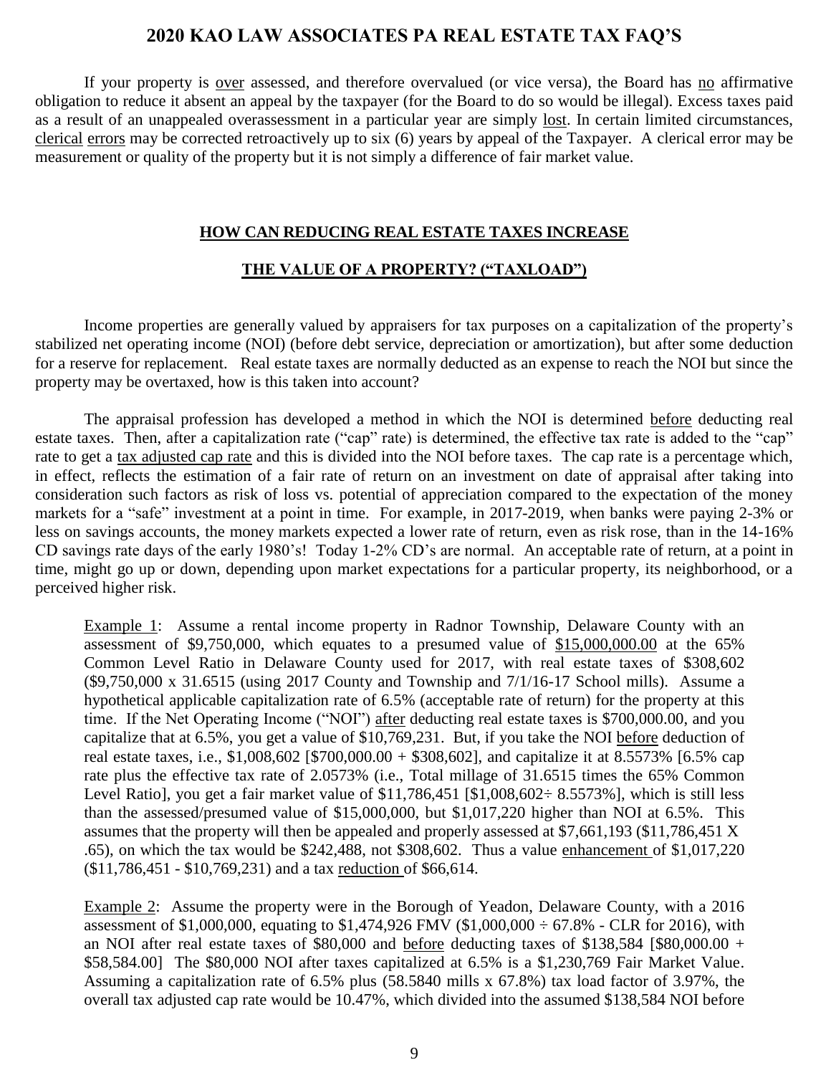If your property is <u>over</u> assessed, and therefore overvalued (or vice versa), the Board has <u>no</u> affirmative obligation to reduce it absent an appeal by the taxpayer (for the Board to do so would be illegal). Excess taxes paid as a result of an unappealed overassessment in a particular year are simply lost. In certain limited circumstances, clerical errors may be corrected retroactively up to six (6) years by appeal of the Taxpayer. A clerical error may be measurement or quality of the property but it is not simply a difference of fair market value.

#### **HOW CAN REDUCING REAL ESTATE TAXES INCREASE**

#### **THE VALUE OF A PROPERTY? ("TAXLOAD")**

<span id="page-8-0"></span>Income properties are generally valued by appraisers for tax purposes on a capitalization of the property's stabilized net operating income (NOI) (before debt service, depreciation or amortization), but after some deduction for a reserve for replacement. Real estate taxes are normally deducted as an expense to reach the NOI but since the property may be overtaxed, how is this taken into account?

The appraisal profession has developed a method in which the NOI is determined before deducting real estate taxes. Then, after a capitalization rate ("cap" rate) is determined, the effective tax rate is added to the "cap" rate to get a tax adjusted cap rate and this is divided into the NOI before taxes. The cap rate is a percentage which, in effect, reflects the estimation of a fair rate of return on an investment on date of appraisal after taking into consideration such factors as risk of loss vs. potential of appreciation compared to the expectation of the money markets for a "safe" investment at a point in time. For example, in 2017-2019, when banks were paying 2-3% or less on savings accounts, the money markets expected a lower rate of return, even as risk rose, than in the 14-16% CD savings rate days of the early 1980's! Today 1-2% CD's are normal. An acceptable rate of return, at a point in time, might go up or down, depending upon market expectations for a particular property, its neighborhood, or a perceived higher risk.

Example 1: Assume a rental income property in Radnor Township, Delaware County with an assessment of \$9,750,000, which equates to a presumed value of \$15,000,000.00 at the 65% Common Level Ratio in Delaware County used for 2017, with real estate taxes of \$308,602 (\$9,750,000 x 31.6515 (using 2017 County and Township and 7/1/16-17 School mills). Assume a hypothetical applicable capitalization rate of 6.5% (acceptable rate of return) for the property at this time. If the Net Operating Income ("NOI") after deducting real estate taxes is \$700,000.00, and you capitalize that at 6.5%, you get a value of \$10,769,231. But, if you take the NOI before deduction of real estate taxes, i.e., \$1,008,602 [\$700,000.00 + \$308,602], and capitalize it at 8.5573% [6.5% cap rate plus the effective tax rate of 2.0573% (i.e., Total millage of 31.6515 times the 65% Common Level Ratio], you get a fair market value of  $$11,786,451$   $$1,008,602 \div 8.5573\%$ ], which is still less than the assessed/presumed value of \$15,000,000, but \$1,017,220 higher than NOI at 6.5%. This assumes that the property will then be appealed and properly assessed at \$7,661,193 (\$11,786,451 X .65), on which the tax would be \$242,488, not \$308,602. Thus a value enhancement of \$1,017,220 (\$11,786,451 - \$10,769,231) and a tax reduction of \$66,614.

Example 2: Assume the property were in the Borough of Yeadon, Delaware County, with a 2016 assessment of \$1,000,000, equating to \$1,474,926 FMV (\$1,000,000 ÷ 67.8% - CLR for 2016), with an NOI after real estate taxes of \$80,000 and before deducting taxes of \$138,584 [\$80,000.00 + \$58,584.00] The \$80,000 NOI after taxes capitalized at 6.5% is a \$1,230,769 Fair Market Value. Assuming a capitalization rate of 6.5% plus (58.5840 mills x 67.8%) tax load factor of 3.97%, the overall tax adjusted cap rate would be 10.47%, which divided into the assumed \$138,584 NOI before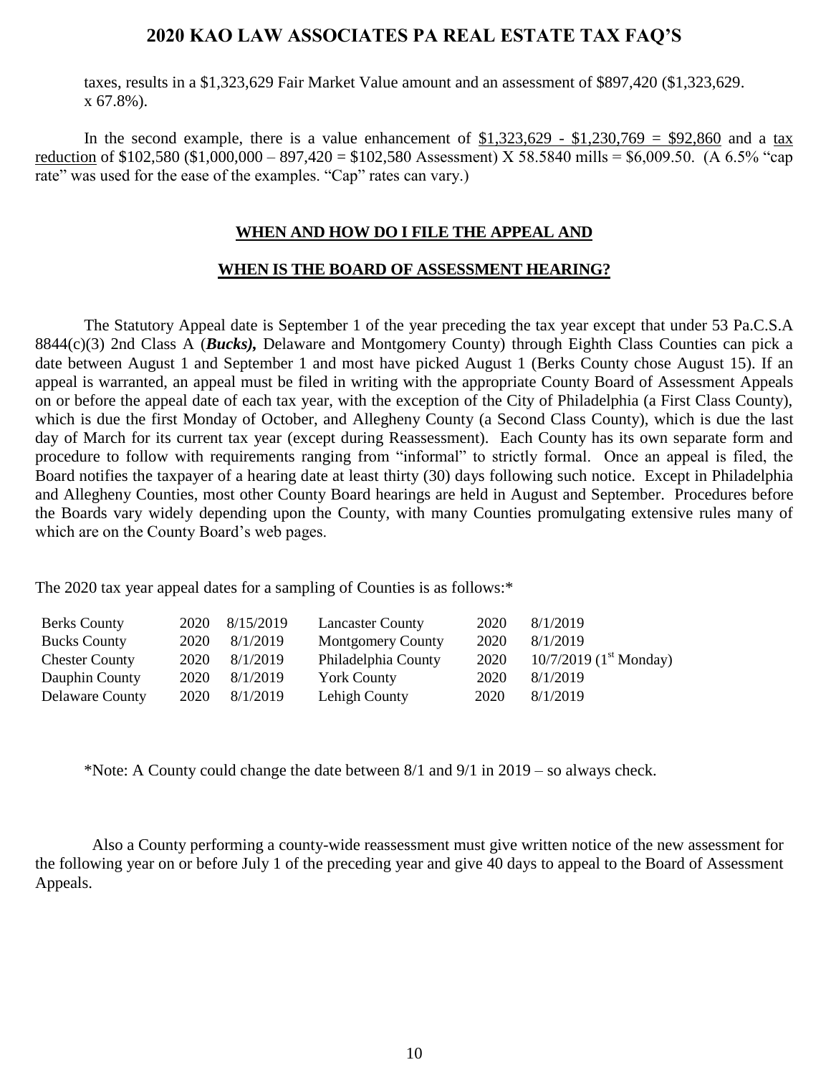taxes, results in a \$1,323,629 Fair Market Value amount and an assessment of \$897,420 (\$1,323,629. x 67.8%).

<span id="page-9-0"></span>In the second example, there is a value enhancement of  $$1,323,629$  -  $$1,230,769$  =  $$92,860$  and a tax reduction of \$102,580 (\$1,000,000 – 897,420 = \$102,580 Assessment) X 58.5840 mills = \$6,009.50. (A 6.5% "cap rate" was used for the ease of the examples. "Cap" rates can vary.)

#### **WHEN AND HOW DO I FILE THE APPEAL AND**

#### **WHEN IS THE BOARD OF ASSESSMENT HEARING?**

The Statutory Appeal date is September 1 of the year preceding the tax year except that under 53 Pa.C.S.A 8844(c)(3) 2nd Class A (*Bucks),* Delaware and Montgomery County) through Eighth Class Counties can pick a date between August 1 and September 1 and most have picked August 1 (Berks County chose August 15). If an appeal is warranted, an appeal must be filed in writing with the appropriate County Board of Assessment Appeals on or before the appeal date of each tax year, with the exception of the City of Philadelphia (a First Class County), which is due the first Monday of October, and Allegheny County (a Second Class County), which is due the last day of March for its current tax year (except during Reassessment). Each County has its own separate form and procedure to follow with requirements ranging from "informal" to strictly formal. Once an appeal is filed, the Board notifies the taxpayer of a hearing date at least thirty (30) days following such notice. Except in Philadelphia and Allegheny Counties, most other County Board hearings are held in August and September. Procedures before the Boards vary widely depending upon the County, with many Counties promulgating extensive rules many of which are on the County Board's web pages.

The 2020 tax year appeal dates for a sampling of Counties is as follows:\*

| <b>Berks County</b>   | 2020 | 8/15/2019 | <b>Lancaster County</b>  | 2020 | 8/1/2019                             |
|-----------------------|------|-----------|--------------------------|------|--------------------------------------|
| <b>Bucks County</b>   | 2020 | 8/1/2019  | <b>Montgomery County</b> | 2020 | 8/1/2019                             |
| <b>Chester County</b> | 2020 | 8/1/2019  | Philadelphia County      | 2020 | $10/7/2019$ (1 <sup>st</sup> Monday) |
| Dauphin County        | 2020 | 8/1/2019  | <b>York County</b>       | 2020 | 8/1/2019                             |
| Delaware County       | 2020 | 8/1/2019  | Lehigh County            | 2020 | 8/1/2019                             |

\*Note: A County could change the date between 8/1 and 9/1 in 2019 – so always check.

 Also a County performing a county-wide reassessment must give written notice of the new assessment for the following year on or before July 1 of the preceding year and give 40 days to appeal to the Board of Assessment Appeals.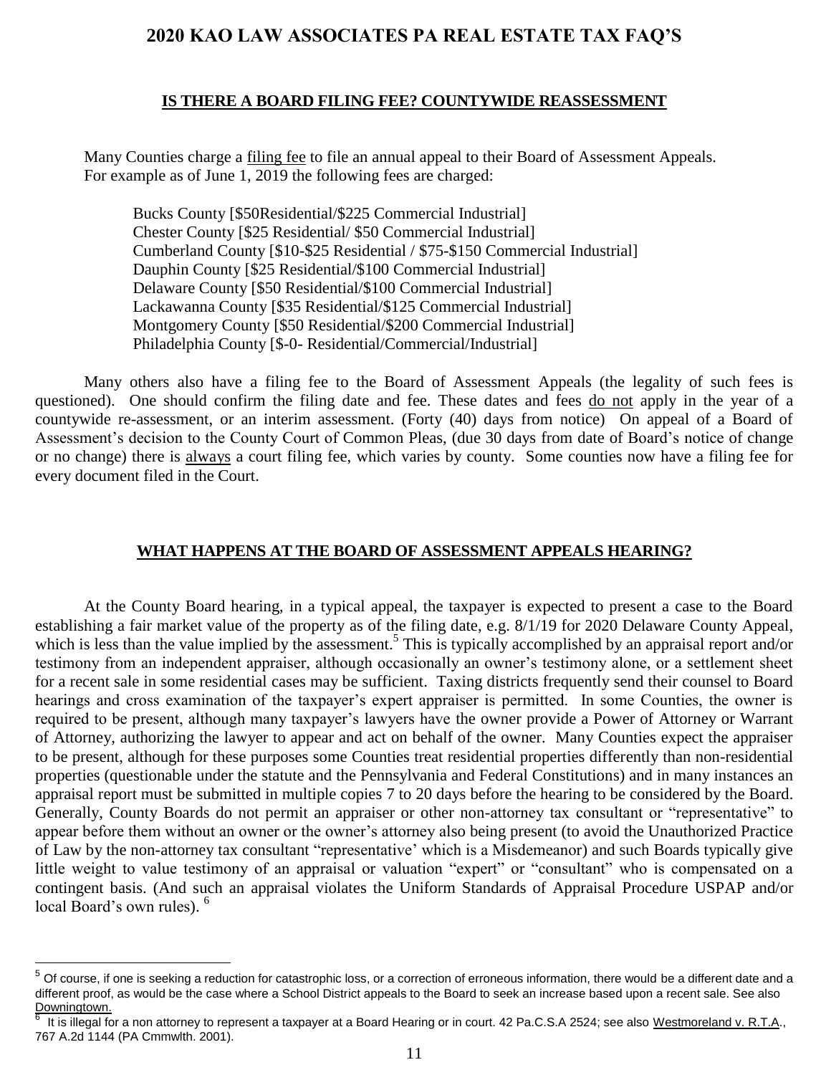#### **IS THERE A BOARD FILING FEE? COUNTYWIDE REASSESSMENT**

<span id="page-10-0"></span>Many Counties charge a filing fee to file an annual appeal to their Board of Assessment Appeals. For example as of June 1, 2019 the following fees are charged:

Bucks County [\$50Residential/\$225 Commercial Industrial] Chester County [\$25 Residential/ \$50 Commercial Industrial] Cumberland County [\$10-\$25 Residential / \$75-\$150 Commercial Industrial] Dauphin County [\$25 Residential/\$100 Commercial Industrial] Delaware County [\$50 Residential/\$100 Commercial Industrial] Lackawanna County [\$35 Residential/\$125 Commercial Industrial] Montgomery County [\$50 Residential/\$200 Commercial Industrial] Philadelphia County [\$-0- Residential/Commercial/Industrial]

Many others also have a filing fee to the Board of Assessment Appeals (the legality of such fees is questioned). One should confirm the filing date and fee. These dates and fees do not apply in the year of a countywide re-assessment, or an interim assessment. (Forty (40) days from notice) On appeal of a Board of Assessment's decision to the County Court of Common Pleas, (due 30 days from date of Board's notice of change or no change) there is always a court filing fee, which varies by county. Some counties now have a filing fee for every document filed in the Court.

#### **WHAT HAPPENS AT THE BOARD OF ASSESSMENT APPEALS HEARING?**

<span id="page-10-1"></span>At the County Board hearing, in a typical appeal, the taxpayer is expected to present a case to the Board establishing a fair market value of the property as of the filing date, e.g. 8/1/19 for 2020 Delaware County Appeal, which is less than the value implied by the assessment.<sup>5</sup> This is typically accomplished by an appraisal report and/or testimony from an independent appraiser, although occasionally an owner's testimony alone, or a settlement sheet for a recent sale in some residential cases may be sufficient. Taxing districts frequently send their counsel to Board hearings and cross examination of the taxpayer's expert appraiser is permitted. In some Counties, the owner is required to be present, although many taxpayer's lawyers have the owner provide a Power of Attorney or Warrant of Attorney, authorizing the lawyer to appear and act on behalf of the owner. Many Counties expect the appraiser to be present, although for these purposes some Counties treat residential properties differently than non-residential properties (questionable under the statute and the Pennsylvania and Federal Constitutions) and in many instances an appraisal report must be submitted in multiple copies 7 to 20 days before the hearing to be considered by the Board. Generally, County Boards do not permit an appraiser or other non-attorney tax consultant or "representative" to appear before them without an owner or the owner's attorney also being present (to avoid the Unauthorized Practice of Law by the non-attorney tax consultant "representative' which is a Misdemeanor) and such Boards typically give little weight to value testimony of an appraisal or valuation "expert" or "consultant" who is compensated on a contingent basis. (And such an appraisal violates the Uniform Standards of Appraisal Procedure USPAP and/or local Board's own rules). <sup>6</sup>

 $5$  Of course, if one is seeking a reduction for catastrophic loss, or a correction of erroneous information, there would be a different date and a different proof, as would be the case where a School District appeals to the Board to seek an increase based upon a recent sale. See also Downingtown.<br><sup>6</sup> It is illegel fo

It is illegal for a non attorney to represent a taxpayer at a Board Hearing or in court. 42 Pa.C.S.A 2524; see also Westmoreland v. R.T.A., 767 A.2d 1144 (PA Cmmwlth. 2001).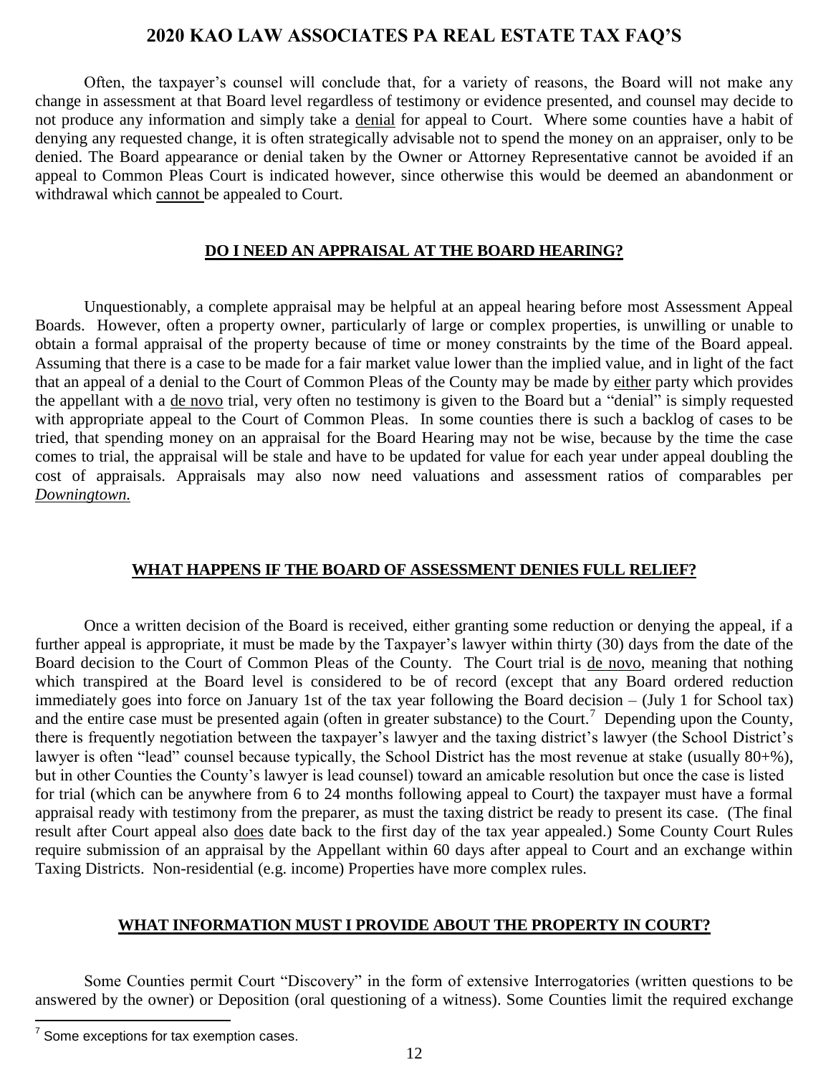Often, the taxpayer's counsel will conclude that, for a variety of reasons, the Board will not make any change in assessment at that Board level regardless of testimony or evidence presented, and counsel may decide to not produce any information and simply take a denial for appeal to Court. Where some counties have a habit of denying any requested change, it is often strategically advisable not to spend the money on an appraiser, only to be denied. The Board appearance or denial taken by the Owner or Attorney Representative cannot be avoided if an appeal to Common Pleas Court is indicated however, since otherwise this would be deemed an abandonment or withdrawal which cannot be appealed to Court.

#### **DO I NEED AN APPRAISAL AT THE BOARD HEARING?**

<span id="page-11-0"></span>Unquestionably, a complete appraisal may be helpful at an appeal hearing before most Assessment Appeal Boards. However, often a property owner, particularly of large or complex properties, is unwilling or unable to obtain a formal appraisal of the property because of time or money constraints by the time of the Board appeal. Assuming that there is a case to be made for a fair market value lower than the implied value, and in light of the fact that an appeal of a denial to the Court of Common Pleas of the County may be made by either party which provides the appellant with a <u>de novo</u> trial, very often no testimony is given to the Board but a "denial" is simply requested with appropriate appeal to the Court of Common Pleas. In some counties there is such a backlog of cases to be tried, that spending money on an appraisal for the Board Hearing may not be wise, because by the time the case comes to trial, the appraisal will be stale and have to be updated for value for each year under appeal doubling the cost of appraisals. Appraisals may also now need valuations and assessment ratios of comparables per *Downingtown.*

#### **WHAT HAPPENS IF THE BOARD OF ASSESSMENT DENIES FULL RELIEF?**

<span id="page-11-1"></span>Once a written decision of the Board is received, either granting some reduction or denying the appeal, if a further appeal is appropriate, it must be made by the Taxpayer's lawyer within thirty (30) days from the date of the Board decision to the Court of Common Pleas of the County. The Court trial is de novo, meaning that nothing which transpired at the Board level is considered to be of record (except that any Board ordered reduction immediately goes into force on January 1st of the tax year following the Board decision – (July 1 for School tax) and the entire case must be presented again (often in greater substance) to the Court.<sup>7</sup> Depending upon the County, there is frequently negotiation between the taxpayer's lawyer and the taxing district's lawyer (the School District's lawyer is often "lead" counsel because typically, the School District has the most revenue at stake (usually 80+%), but in other Counties the County's lawyer is lead counsel) toward an amicable resolution but once the case is listed for trial (which can be anywhere from 6 to 24 months following appeal to Court) the taxpayer must have a formal appraisal ready with testimony from the preparer, as must the taxing district be ready to present its case. (The final result after Court appeal also does date back to the first day of the tax year appealed.) Some County Court Rules require submission of an appraisal by the Appellant within 60 days after appeal to Court and an exchange within Taxing Districts. Non-residential (e.g. income) Properties have more complex rules.

#### **WHAT INFORMATION MUST I PROVIDE ABOUT THE PROPERTY IN COURT?**

<span id="page-11-2"></span>Some Counties permit Court "Discovery" in the form of extensive Interrogatories (written questions to be answered by the owner) or Deposition (oral questioning of a witness). Some Counties limit the required exchange

 7 Some exceptions for tax exemption cases.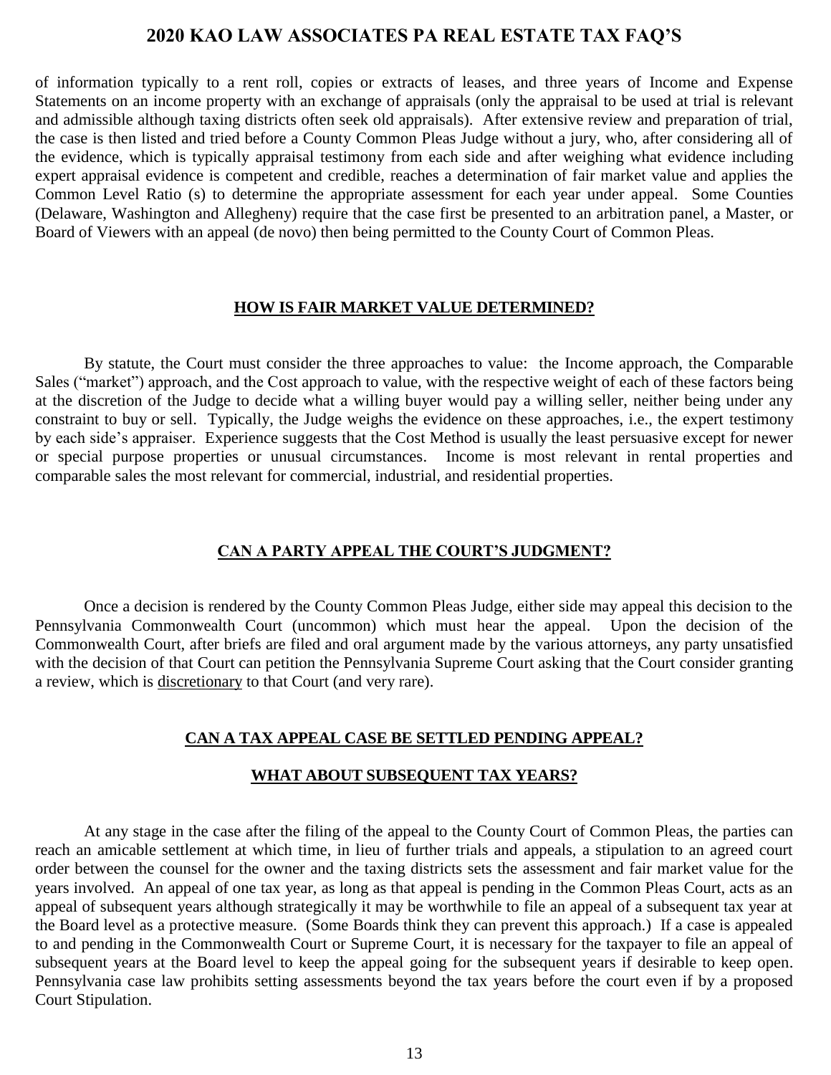of information typically to a rent roll, copies or extracts of leases, and three years of Income and Expense Statements on an income property with an exchange of appraisals (only the appraisal to be used at trial is relevant and admissible although taxing districts often seek old appraisals). After extensive review and preparation of trial, the case is then listed and tried before a County Common Pleas Judge without a jury, who, after considering all of the evidence, which is typically appraisal testimony from each side and after weighing what evidence including expert appraisal evidence is competent and credible, reaches a determination of fair market value and applies the Common Level Ratio (s) to determine the appropriate assessment for each year under appeal. Some Counties (Delaware, Washington and Allegheny) require that the case first be presented to an arbitration panel, a Master, or Board of Viewers with an appeal (de novo) then being permitted to the County Court of Common Pleas.

#### **HOW IS FAIR MARKET VALUE DETERMINED?**

<span id="page-12-0"></span>By statute, the Court must consider the three approaches to value: the Income approach, the Comparable Sales ("market") approach, and the Cost approach to value, with the respective weight of each of these factors being at the discretion of the Judge to decide what a willing buyer would pay a willing seller, neither being under any constraint to buy or sell. Typically, the Judge weighs the evidence on these approaches, i.e., the expert testimony by each side's appraiser. Experience suggests that the Cost Method is usually the least persuasive except for newer or special purpose properties or unusual circumstances. Income is most relevant in rental properties and comparable sales the most relevant for commercial, industrial, and residential properties.

#### **CAN A PARTY APPEAL THE COURT'S JUDGMENT?**

<span id="page-12-1"></span>Once a decision is rendered by the County Common Pleas Judge, either side may appeal this decision to the Pennsylvania Commonwealth Court (uncommon) which must hear the appeal. Upon the decision of the Commonwealth Court, after briefs are filed and oral argument made by the various attorneys, any party unsatisfied with the decision of that Court can petition the Pennsylvania Supreme Court asking that the Court consider granting a review, which is discretionary to that Court (and very rare).

#### **CAN A TAX APPEAL CASE BE SETTLED PENDING APPEAL?**

#### **WHAT ABOUT SUBSEQUENT TAX YEARS?**

<span id="page-12-2"></span>At any stage in the case after the filing of the appeal to the County Court of Common Pleas, the parties can reach an amicable settlement at which time, in lieu of further trials and appeals, a stipulation to an agreed court order between the counsel for the owner and the taxing districts sets the assessment and fair market value for the years involved. An appeal of one tax year, as long as that appeal is pending in the Common Pleas Court, acts as an appeal of subsequent years although strategically it may be worthwhile to file an appeal of a subsequent tax year at the Board level as a protective measure. (Some Boards think they can prevent this approach.) If a case is appealed to and pending in the Commonwealth Court or Supreme Court, it is necessary for the taxpayer to file an appeal of subsequent years at the Board level to keep the appeal going for the subsequent years if desirable to keep open. Pennsylvania case law prohibits setting assessments beyond the tax years before the court even if by a proposed Court Stipulation.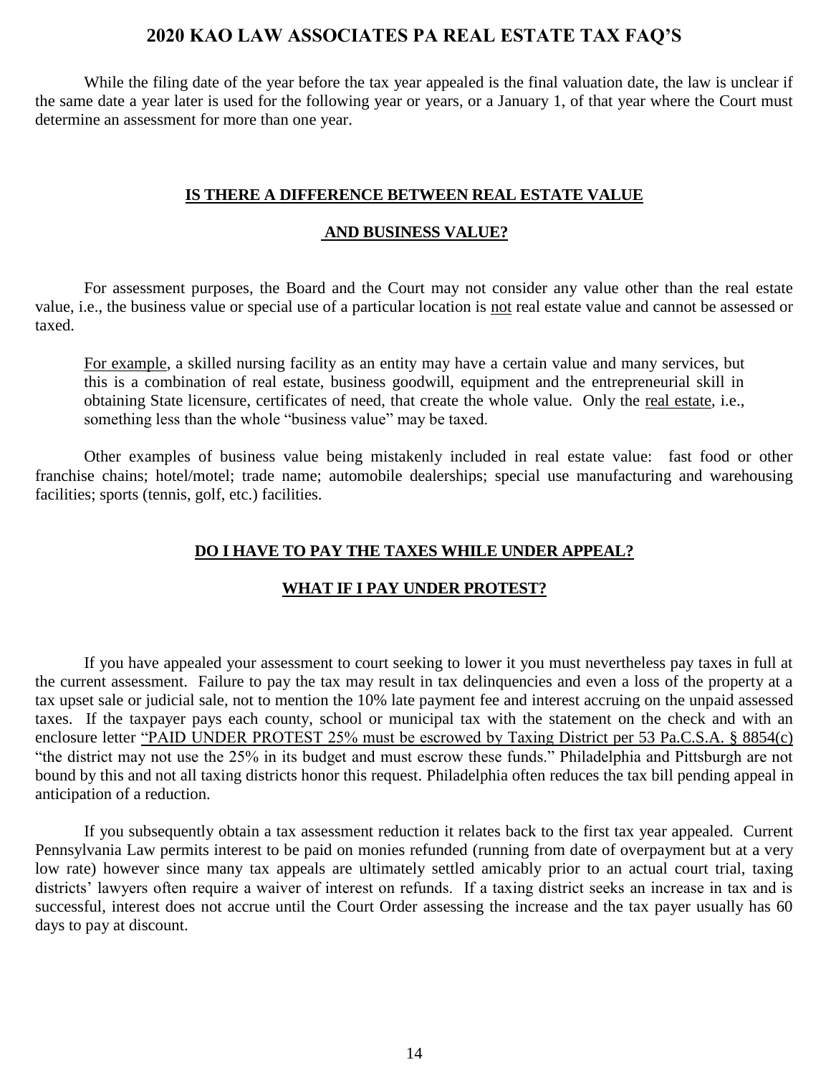While the filing date of the year before the tax year appealed is the final valuation date, the law is unclear if the same date a year later is used for the following year or years, or a January 1, of that year where the Court must determine an assessment for more than one year.

#### **IS THERE A DIFFERENCE BETWEEN REAL ESTATE VALUE**

#### **AND BUSINESS VALUE?**

<span id="page-13-0"></span>For assessment purposes, the Board and the Court may not consider any value other than the real estate value, i.e., the business value or special use of a particular location is not real estate value and cannot be assessed or taxed.

For example, a skilled nursing facility as an entity may have a certain value and many services, but this is a combination of real estate, business goodwill, equipment and the entrepreneurial skill in obtaining State licensure, certificates of need, that create the whole value. Only the real estate, i.e., something less than the whole "business value" may be taxed.

<span id="page-13-1"></span>Other examples of business value being mistakenly included in real estate value: fast food or other franchise chains; hotel/motel; trade name; automobile dealerships; special use manufacturing and warehousing facilities; sports (tennis, golf, etc.) facilities.

#### **DO I HAVE TO PAY THE TAXES WHILE UNDER APPEAL?**

#### **WHAT IF I PAY UNDER PROTEST?**

If you have appealed your assessment to court seeking to lower it you must nevertheless pay taxes in full at the current assessment. Failure to pay the tax may result in tax delinquencies and even a loss of the property at a tax upset sale or judicial sale, not to mention the 10% late payment fee and interest accruing on the unpaid assessed taxes. If the taxpayer pays each county, school or municipal tax with the statement on the check and with an enclosure letter "PAID UNDER PROTEST 25% must be escrowed by Taxing District per 53 Pa.C.S.A. § 8854(c) "the district may not use the 25% in its budget and must escrow these funds." Philadelphia and Pittsburgh are not bound by this and not all taxing districts honor this request. Philadelphia often reduces the tax bill pending appeal in anticipation of a reduction.

If you subsequently obtain a tax assessment reduction it relates back to the first tax year appealed. Current Pennsylvania Law permits interest to be paid on monies refunded (running from date of overpayment but at a very low rate) however since many tax appeals are ultimately settled amicably prior to an actual court trial, taxing districts' lawyers often require a waiver of interest on refunds. If a taxing district seeks an increase in tax and is successful, interest does not accrue until the Court Order assessing the increase and the tax payer usually has 60 days to pay at discount.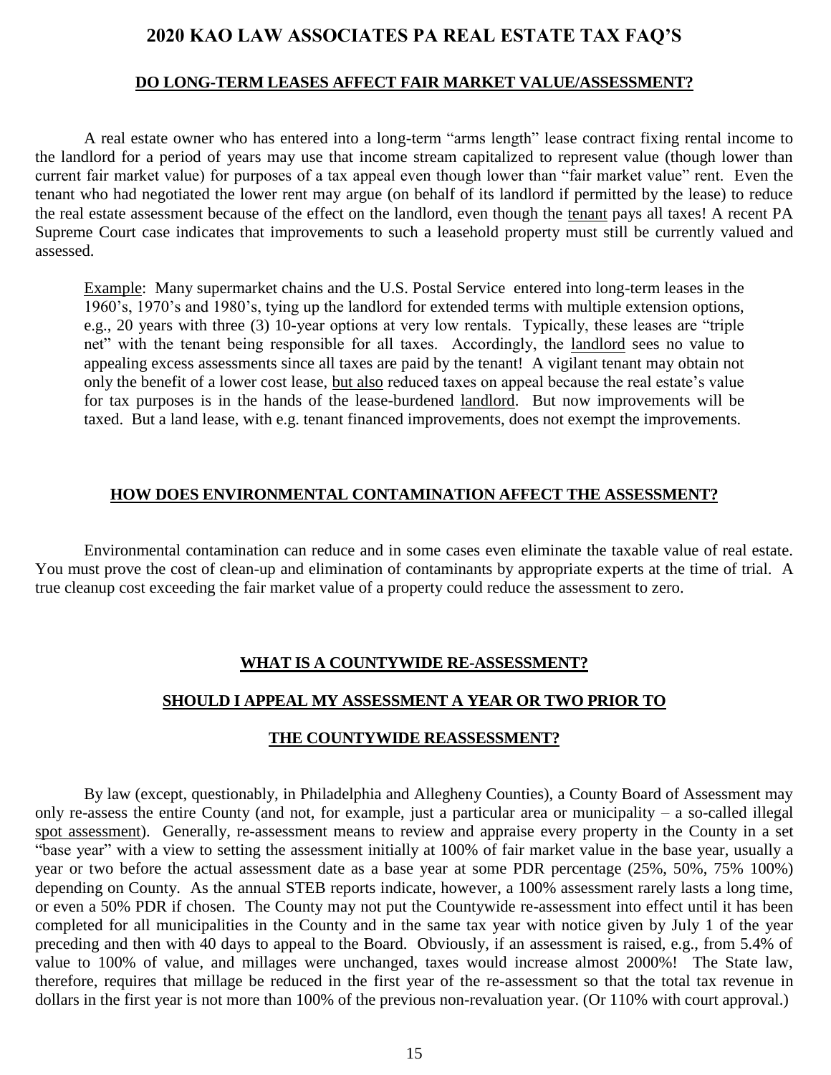#### **DO LONG-TERM LEASES AFFECT FAIR MARKET VALUE/ASSESSMENT?**

<span id="page-14-0"></span>A real estate owner who has entered into a long-term "arms length" lease contract fixing rental income to the landlord for a period of years may use that income stream capitalized to represent value (though lower than current fair market value) for purposes of a tax appeal even though lower than "fair market value" rent. Even the tenant who had negotiated the lower rent may argue (on behalf of its landlord if permitted by the lease) to reduce the real estate assessment because of the effect on the landlord, even though the tenant pays all taxes! A recent PA Supreme Court case indicates that improvements to such a leasehold property must still be currently valued and assessed.

Example: Many supermarket chains and the U.S. Postal Service entered into long-term leases in the 1960's, 1970's and 1980's, tying up the landlord for extended terms with multiple extension options, e.g., 20 years with three (3) 10-year options at very low rentals. Typically, these leases are "triple net" with the tenant being responsible for all taxes. Accordingly, the landlord sees no value to appealing excess assessments since all taxes are paid by the tenant! A vigilant tenant may obtain not only the benefit of a lower cost lease, but also reduced taxes on appeal because the real estate's value for tax purposes is in the hands of the lease-burdened landlord. But now improvements will be taxed. But a land lease, with e.g. tenant financed improvements, does not exempt the improvements.

#### **HOW DOES ENVIRONMENTAL CONTAMINATION AFFECT THE ASSESSMENT?**

<span id="page-14-2"></span><span id="page-14-1"></span>Environmental contamination can reduce and in some cases even eliminate the taxable value of real estate. You must prove the cost of clean-up and elimination of contaminants by appropriate experts at the time of trial. A true cleanup cost exceeding the fair market value of a property could reduce the assessment to zero.

#### **WHAT IS A COUNTYWIDE RE-ASSESSMENT?**

#### **SHOULD I APPEAL MY ASSESSMENT A YEAR OR TWO PRIOR TO**

#### **THE COUNTYWIDE REASSESSMENT?**

By law (except, questionably, in Philadelphia and Allegheny Counties), a County Board of Assessment may only re-assess the entire County (and not, for example, just a particular area or municipality – a so-called illegal spot assessment). Generally, re-assessment means to review and appraise every property in the County in a set "base year" with a view to setting the assessment initially at 100% of fair market value in the base year, usually a year or two before the actual assessment date as a base year at some PDR percentage (25%, 50%, 75% 100%) depending on County. As the annual STEB reports indicate, however, a 100% assessment rarely lasts a long time, or even a 50% PDR if chosen. The County may not put the Countywide re-assessment into effect until it has been completed for all municipalities in the County and in the same tax year with notice given by July 1 of the year preceding and then with 40 days to appeal to the Board. Obviously, if an assessment is raised, e.g., from 5.4% of value to 100% of value, and millages were unchanged, taxes would increase almost 2000%! The State law, therefore, requires that millage be reduced in the first year of the re-assessment so that the total tax revenue in dollars in the first year is not more than 100% of the previous non-revaluation year. (Or 110% with court approval.)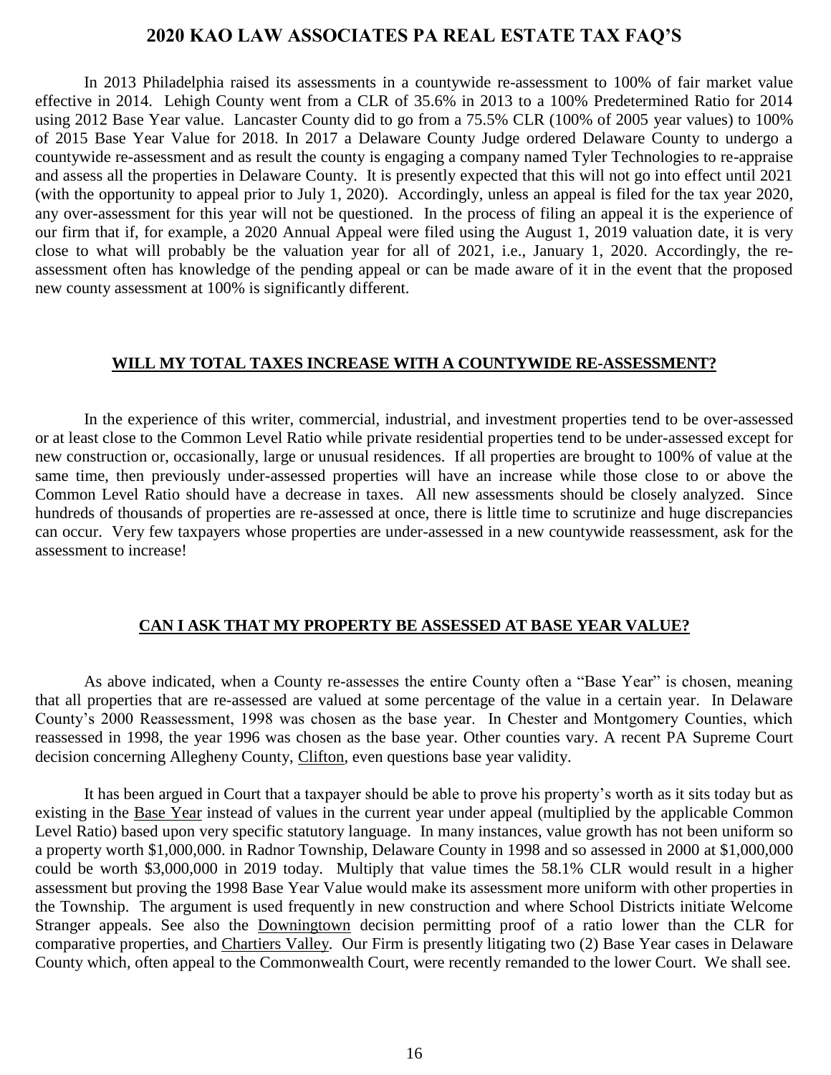In 2013 Philadelphia raised its assessments in a countywide re-assessment to 100% of fair market value effective in 2014. Lehigh County went from a CLR of 35.6% in 2013 to a 100% Predetermined Ratio for 2014 using 2012 Base Year value. Lancaster County did to go from a 75.5% CLR (100% of 2005 year values) to 100% of 2015 Base Year Value for 2018. In 2017 a Delaware County Judge ordered Delaware County to undergo a countywide re-assessment and as result the county is engaging a company named Tyler Technologies to re-appraise and assess all the properties in Delaware County. It is presently expected that this will not go into effect until 2021 (with the opportunity to appeal prior to July 1, 2020). Accordingly, unless an appeal is filed for the tax year 2020, any over-assessment for this year will not be questioned. In the process of filing an appeal it is the experience of our firm that if, for example, a 2020 Annual Appeal were filed using the August 1, 2019 valuation date, it is very close to what will probably be the valuation year for all of 2021, i.e., January 1, 2020. Accordingly, the reassessment often has knowledge of the pending appeal or can be made aware of it in the event that the proposed new county assessment at 100% is significantly different.

#### **WILL MY TOTAL TAXES INCREASE WITH A COUNTYWIDE RE-ASSESSMENT?**

<span id="page-15-0"></span>In the experience of this writer, commercial, industrial, and investment properties tend to be over-assessed or at least close to the Common Level Ratio while private residential properties tend to be under-assessed except for new construction or, occasionally, large or unusual residences. If all properties are brought to 100% of value at the same time, then previously under-assessed properties will have an increase while those close to or above the Common Level Ratio should have a decrease in taxes. All new assessments should be closely analyzed. Since hundreds of thousands of properties are re-assessed at once, there is little time to scrutinize and huge discrepancies can occur. Very few taxpayers whose properties are under-assessed in a new countywide reassessment, ask for the assessment to increase!

#### **CAN I ASK THAT MY PROPERTY BE ASSESSED AT BASE YEAR VALUE?**

<span id="page-15-1"></span>As above indicated, when a County re-assesses the entire County often a "Base Year" is chosen, meaning that all properties that are re-assessed are valued at some percentage of the value in a certain year. In Delaware County's 2000 Reassessment, 1998 was chosen as the base year. In Chester and Montgomery Counties, which reassessed in 1998, the year 1996 was chosen as the base year. Other counties vary. A recent PA Supreme Court decision concerning Allegheny County, Clifton, even questions base year validity.

It has been argued in Court that a taxpayer should be able to prove his property's worth as it sits today but as existing in the Base Year instead of values in the current year under appeal (multiplied by the applicable Common Level Ratio) based upon very specific statutory language. In many instances, value growth has not been uniform so a property worth \$1,000,000. in Radnor Township, Delaware County in 1998 and so assessed in 2000 at \$1,000,000 could be worth \$3,000,000 in 2019 today. Multiply that value times the 58.1% CLR would result in a higher assessment but proving the 1998 Base Year Value would make its assessment more uniform with other properties in the Township. The argument is used frequently in new construction and where School Districts initiate Welcome Stranger appeals. See also the Downingtown decision permitting proof of a ratio lower than the CLR for comparative properties, and Chartiers Valley*.* Our Firm is presently litigating two (2) Base Year cases in Delaware County which, often appeal to the Commonwealth Court, were recently remanded to the lower Court. We shall see.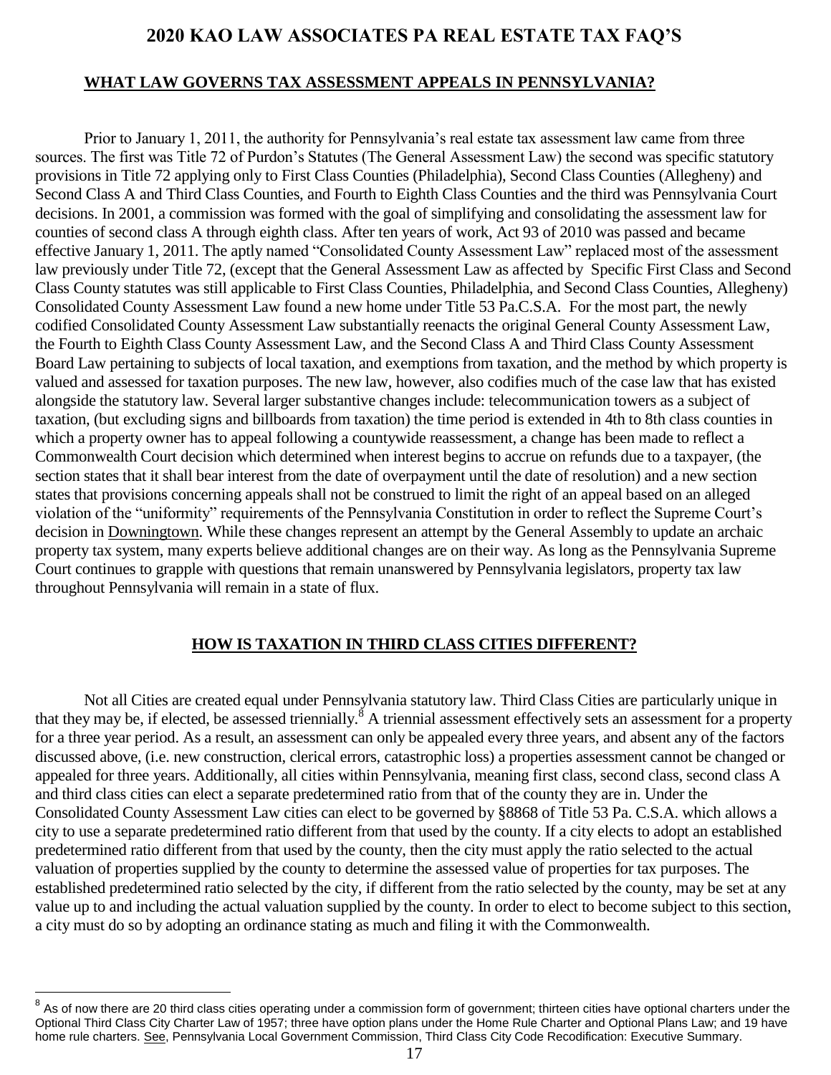#### **WHAT LAW GOVERNS TAX ASSESSMENT APPEALS IN PENNSYLVANIA?**

Prior to January 1, 2011, the authority for Pennsylvania's real estate tax assessment law came from three sources. The first was Title 72 of Purdon's Statutes (The General Assessment Law) the second was specific statutory provisions in Title 72 applying only to First Class Counties (Philadelphia), Second Class Counties (Allegheny) and Second Class A and Third Class Counties, and Fourth to Eighth Class Counties and the third was Pennsylvania Court decisions. In 2001, a commission was formed with the goal of simplifying and consolidating the assessment law for counties of second class A through eighth class. After ten years of work, Act 93 of 2010 was passed and became effective January 1, 2011. The aptly named "Consolidated County Assessment Law" replaced most of the assessment law previously under Title 72, (except that the General Assessment Law as affected by Specific First Class and Second Class County statutes was still applicable to First Class Counties, Philadelphia, and Second Class Counties, Allegheny) Consolidated County Assessment Law found a new home under Title 53 Pa.C.S.A. For the most part, the newly codified Consolidated County Assessment Law substantially reenacts the original General County Assessment Law, the Fourth to Eighth Class County Assessment Law, and the Second Class A and Third Class County Assessment Board Law pertaining to subjects of local taxation, and exemptions from taxation, and the method by which property is valued and assessed for taxation purposes. The new law, however, also codifies much of the case law that has existed alongside the statutory law. Several larger substantive changes include: telecommunication towers as a subject of taxation, (but excluding signs and billboards from taxation) the time period is extended in 4th to 8th class counties in which a property owner has to appeal following a countywide reassessment, a change has been made to reflect a Commonwealth Court decision which determined when interest begins to accrue on refunds due to a taxpayer, (the section states that it shall bear interest from the date of overpayment until the date of resolution) and a new section states that provisions concerning appeals shall not be construed to limit the right of an appeal based on an alleged violation of the "uniformity" requirements of the Pennsylvania Constitution in order to reflect the Supreme Court's decision in Downingtown. While these changes represent an attempt by the General Assembly to update an archaic property tax system, many experts believe additional changes are on their way. As long as the Pennsylvania Supreme Court continues to grapple with questions that remain unanswered by Pennsylvania legislators, property tax law throughout Pennsylvania will remain in a state of flux.

#### **HOW IS TAXATION IN THIRD CLASS CITIES DIFFERENT?**

<span id="page-16-0"></span>Not all Cities are created equal under Pennsylvania statutory law. Third Class Cities are particularly unique in that they may be, if elected, be assessed triennially.<sup>8</sup> A triennial assessment effectively sets an assessment for a property for a three year period. As a result, an assessment can only be appealed every three years, and absent any of the factors discussed above, (i.e. new construction, clerical errors, catastrophic loss) a properties assessment cannot be changed or appealed for three years. Additionally, all cities within Pennsylvania, meaning first class, second class, second class A and third class cities can elect a separate predetermined ratio from that of the county they are in. Under the Consolidated County Assessment Law cities can elect to be governed by §8868 of Title 53 Pa. C.S.A. which allows a city to use a separate predetermined ratio different from that used by the county. If a city elects to adopt an established predetermined ratio different from that used by the county, then the city must apply the ratio selected to the actual valuation of properties supplied by the county to determine the assessed value of properties for tax purposes. The established predetermined ratio selected by the city, if different from the ratio selected by the county, may be set at any value up to and including the actual valuation supplied by the county. In order to elect to become subject to this section, a city must do so by adopting an ordinance stating as much and filing it with the Commonwealth.

 $^8$  As of now there are 20 third class cities operating under a commission form of government; thirteen cities have optional charters under the Optional Third Class City Charter Law of 1957; three have option plans under the Home Rule Charter and Optional Plans Law; and 19 have home rule charters. See, Pennsylvania Local Government Commission, Third Class City Code Recodification: Executive Summary.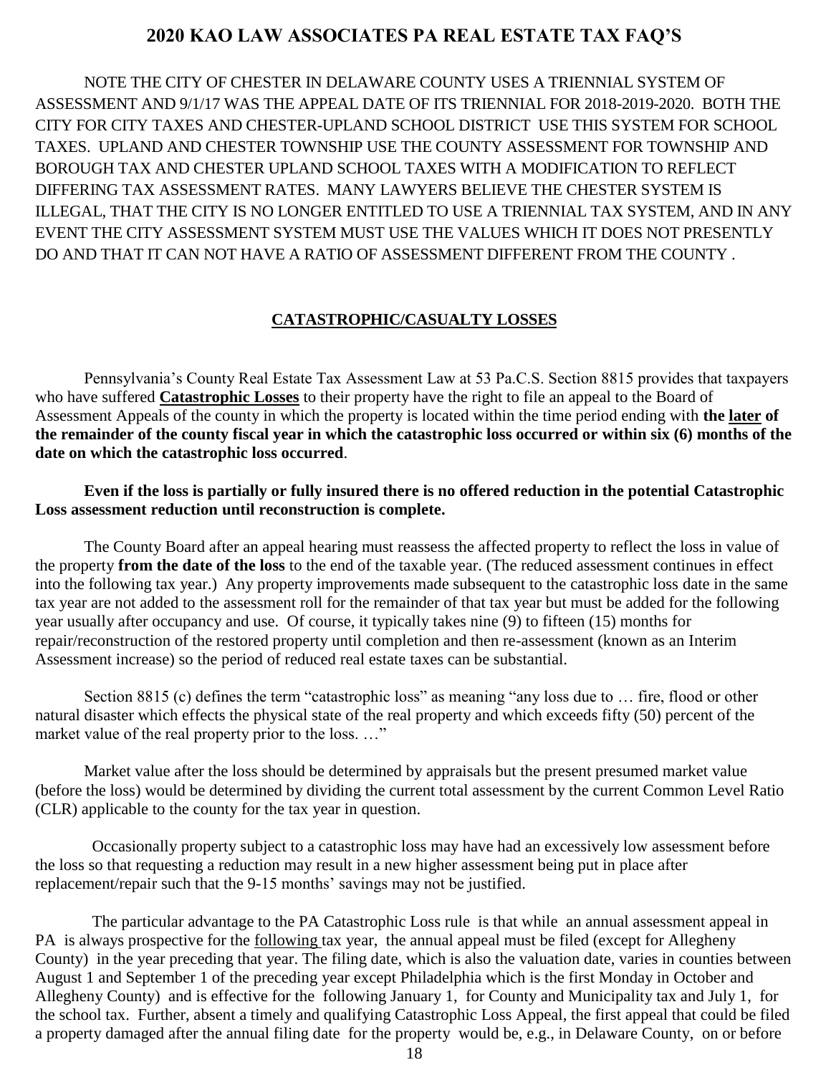NOTE THE CITY OF CHESTER IN DELAWARE COUNTY USES A TRIENNIAL SYSTEM OF ASSESSMENT AND 9/1/17 WAS THE APPEAL DATE OF ITS TRIENNIAL FOR 2018-2019-2020. BOTH THE CITY FOR CITY TAXES AND CHESTER-UPLAND SCHOOL DISTRICT USE THIS SYSTEM FOR SCHOOL TAXES. UPLAND AND CHESTER TOWNSHIP USE THE COUNTY ASSESSMENT FOR TOWNSHIP AND BOROUGH TAX AND CHESTER UPLAND SCHOOL TAXES WITH A MODIFICATION TO REFLECT DIFFERING TAX ASSESSMENT RATES. MANY LAWYERS BELIEVE THE CHESTER SYSTEM IS ILLEGAL, THAT THE CITY IS NO LONGER ENTITLED TO USE A TRIENNIAL TAX SYSTEM, AND IN ANY EVENT THE CITY ASSESSMENT SYSTEM MUST USE THE VALUES WHICH IT DOES NOT PRESENTLY DO AND THAT IT CAN NOT HAVE A RATIO OF ASSESSMENT DIFFERENT FROM THE COUNTY .

#### **CATASTROPHIC/CASUALTY LOSSES**

Pennsylvania's County Real Estate Tax Assessment Law at 53 Pa.C.S. Section 8815 provides that taxpayers who have suffered **Catastrophic Losses** to their property have the right to file an appeal to the Board of Assessment Appeals of the county in which the property is located within the time period ending with **the later of the remainder of the county fiscal year in which the catastrophic loss occurred or within six (6) months of the date on which the catastrophic loss occurred**.

**Even if the loss is partially or fully insured there is no offered reduction in the potential Catastrophic Loss assessment reduction until reconstruction is complete.**

The County Board after an appeal hearing must reassess the affected property to reflect the loss in value of the property **from the date of the loss** to the end of the taxable year. (The reduced assessment continues in effect into the following tax year.) Any property improvements made subsequent to the catastrophic loss date in the same tax year are not added to the assessment roll for the remainder of that tax year but must be added for the following year usually after occupancy and use. Of course, it typically takes nine (9) to fifteen (15) months for repair/reconstruction of the restored property until completion and then re-assessment (known as an Interim Assessment increase) so the period of reduced real estate taxes can be substantial.

Section 8815 (c) defines the term "catastrophic loss" as meaning "any loss due to ... fire, flood or other natural disaster which effects the physical state of the real property and which exceeds fifty (50) percent of the market value of the real property prior to the loss. ..."

Market value after the loss should be determined by appraisals but the present presumed market value (before the loss) would be determined by dividing the current total assessment by the current Common Level Ratio (CLR) applicable to the county for the tax year in question.

 Occasionally property subject to a catastrophic loss may have had an excessively low assessment before the loss so that requesting a reduction may result in a new higher assessment being put in place after replacement/repair such that the 9-15 months' savings may not be justified.

 The particular advantage to the PA Catastrophic Loss rule is that while an annual assessment appeal in PA is always prospective for the <u>following</u> tax year, the annual appeal must be filed (except for Allegheny County) in the year preceding that year. The filing date, which is also the valuation date, varies in counties between August 1 and September 1 of the preceding year except Philadelphia which is the first Monday in October and Allegheny County) and is effective for the following January 1, for County and Municipality tax and July 1, for the school tax. Further, absent a timely and qualifying Catastrophic Loss Appeal, the first appeal that could be filed a property damaged after the annual filing date for the property would be, e.g., in Delaware County, on or before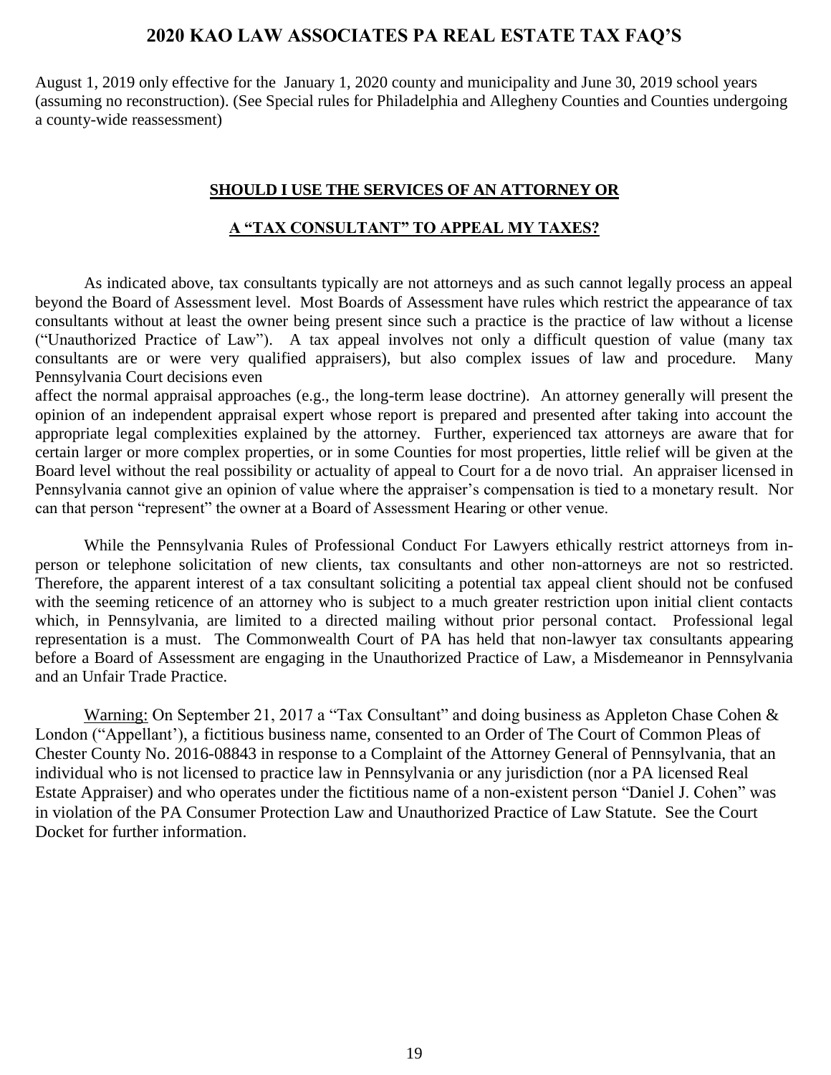August 1, 2019 only effective for the January 1, 2020 county and municipality and June 30, 2019 school years (assuming no reconstruction). (See Special rules for Philadelphia and Allegheny Counties and Counties undergoing a county-wide reassessment)

#### **SHOULD I USE THE SERVICES OF AN ATTORNEY OR**

#### **A "TAX CONSULTANT" TO APPEAL MY TAXES?**

<span id="page-18-0"></span>As indicated above, tax consultants typically are not attorneys and as such cannot legally process an appeal beyond the Board of Assessment level. Most Boards of Assessment have rules which restrict the appearance of tax consultants without at least the owner being present since such a practice is the practice of law without a license ("Unauthorized Practice of Law"). A tax appeal involves not only a difficult question of value (many tax consultants are or were very qualified appraisers), but also complex issues of law and procedure. Many Pennsylvania Court decisions even

affect the normal appraisal approaches (e.g., the long-term lease doctrine). An attorney generally will present the opinion of an independent appraisal expert whose report is prepared and presented after taking into account the appropriate legal complexities explained by the attorney. Further, experienced tax attorneys are aware that for certain larger or more complex properties, or in some Counties for most properties, little relief will be given at the Board level without the real possibility or actuality of appeal to Court for a de novo trial. An appraiser licensed in Pennsylvania cannot give an opinion of value where the appraiser's compensation is tied to a monetary result. Nor can that person "represent" the owner at a Board of Assessment Hearing or other venue.

While the Pennsylvania Rules of Professional Conduct For Lawyers ethically restrict attorneys from inperson or telephone solicitation of new clients, tax consultants and other non-attorneys are not so restricted. Therefore, the apparent interest of a tax consultant soliciting a potential tax appeal client should not be confused with the seeming reticence of an attorney who is subject to a much greater restriction upon initial client contacts which, in Pennsylvania, are limited to a directed mailing without prior personal contact. Professional legal representation is a must. The Commonwealth Court of PA has held that non-lawyer tax consultants appearing before a Board of Assessment are engaging in the Unauthorized Practice of Law, a Misdemeanor in Pennsylvania and an Unfair Trade Practice.

<span id="page-18-1"></span>Warning: On September 21, 2017 a "Tax Consultant" and doing business as Appleton Chase Cohen & London ("Appellant'), a fictitious business name, consented to an Order of The Court of Common Pleas of Chester County No. 2016-08843 in response to a Complaint of the Attorney General of Pennsylvania, that an individual who is not licensed to practice law in Pennsylvania or any jurisdiction (nor a PA licensed Real Estate Appraiser) and who operates under the fictitious name of a non-existent person "Daniel J. Cohen" was in violation of the PA Consumer Protection Law and Unauthorized Practice of Law Statute. See the Court Docket for further information.